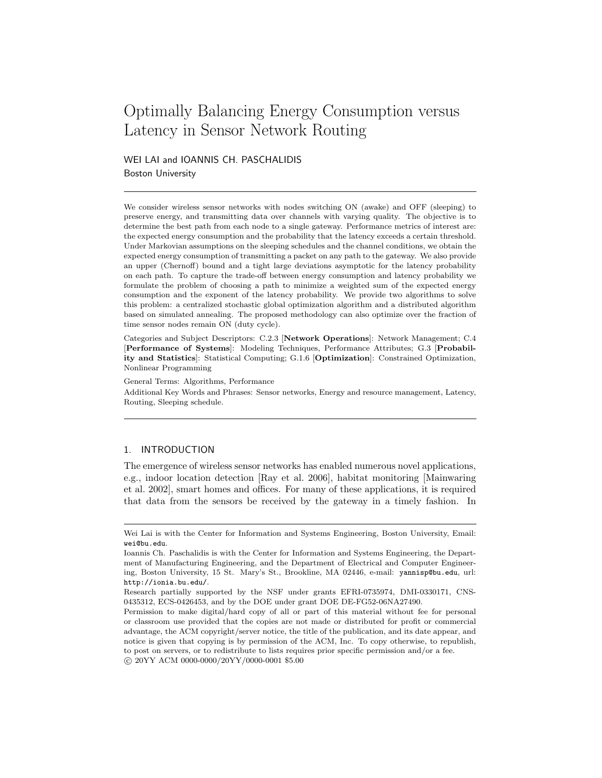# Optimally Balancing Energy Consumption versus Latency in Sensor Network Routing

WEI LAI and IOANNIS CH. PASCHALIDIS Boston University

We consider wireless sensor networks with nodes switching ON (awake) and OFF (sleeping) to preserve energy, and transmitting data over channels with varying quality. The objective is to determine the best path from each node to a single gateway. Performance metrics of interest are: the expected energy consumption and the probability that the latency exceeds a certain threshold. Under Markovian assumptions on the sleeping schedules and the channel conditions, we obtain the expected energy consumption of transmitting a packet on any path to the gateway. We also provide an upper (Chernoff) bound and a tight large deviations asymptotic for the latency probability on each path. To capture the trade-off between energy consumption and latency probability we formulate the problem of choosing a path to minimize a weighted sum of the expected energy consumption and the exponent of the latency probability. We provide two algorithms to solve this problem: a centralized stochastic global optimization algorithm and a distributed algorithm based on simulated annealing. The proposed methodology can also optimize over the fraction of time sensor nodes remain ON (duty cycle).

Categories and Subject Descriptors: C.2.3 [Network Operations]: Network Management; C.4 [Performance of Systems]: Modeling Techniques, Performance Attributes; G.3 [Probability and Statistics]: Statistical Computing; G.1.6 [Optimization]: Constrained Optimization, Nonlinear Programming

General Terms: Algorithms, Performance Additional Key Words and Phrases: Sensor networks, Energy and resource management, Latency, Routing, Sleeping schedule.

# 1. INTRODUCTION

The emergence of wireless sensor networks has enabled numerous novel applications, e.g., indoor location detection [Ray et al. 2006], habitat monitoring [Mainwaring et al. 2002], smart homes and offices. For many of these applications, it is required that data from the sensors be received by the gateway in a timely fashion. In

Wei Lai is with the Center for Information and Systems Engineering, Boston University, Email: wei@bu.edu.

Ioannis Ch. Paschalidis is with the Center for Information and Systems Engineering, the Department of Manufacturing Engineering, and the Department of Electrical and Computer Engineering, Boston University, 15 St. Mary's St., Brookline, MA 02446, e-mail: yannisp@bu.edu, url: http://ionia.bu.edu/.

Research partially supported by the NSF under grants EFRI-0735974, DMI-0330171, CNS-0435312, ECS-0426453, and by the DOE under grant DOE DE-FG52-06NA27490.

Permission to make digital/hard copy of all or part of this material without fee for personal or classroom use provided that the copies are not made or distributed for profit or commercial advantage, the ACM copyright/server notice, the title of the publication, and its date appear, and notice is given that copying is by permission of the ACM, Inc. To copy otherwise, to republish, to post on servers, or to redistribute to lists requires prior specific permission and/or a fee. c 20YY ACM 0000-0000/20YY/0000-0001 \$5.00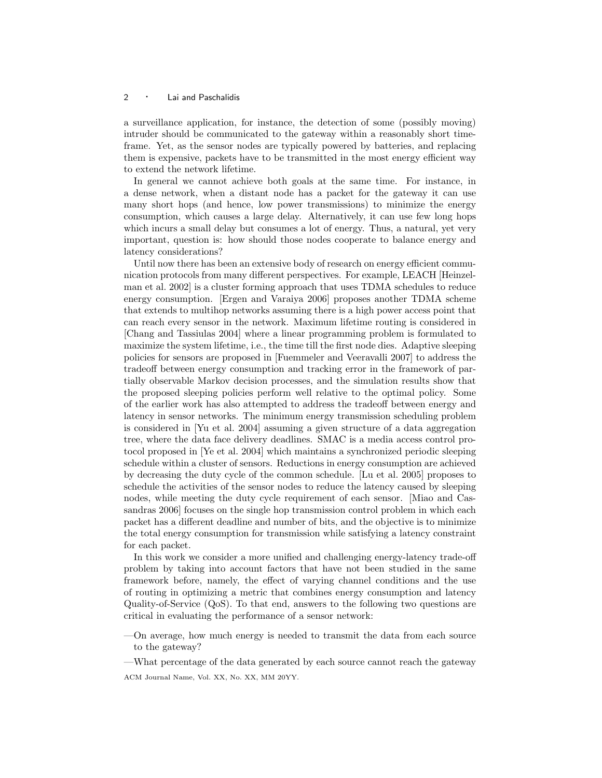a surveillance application, for instance, the detection of some (possibly moving) intruder should be communicated to the gateway within a reasonably short timeframe. Yet, as the sensor nodes are typically powered by batteries, and replacing them is expensive, packets have to be transmitted in the most energy efficient way to extend the network lifetime.

In general we cannot achieve both goals at the same time. For instance, in a dense network, when a distant node has a packet for the gateway it can use many short hops (and hence, low power transmissions) to minimize the energy consumption, which causes a large delay. Alternatively, it can use few long hops which incurs a small delay but consumes a lot of energy. Thus, a natural, yet very important, question is: how should those nodes cooperate to balance energy and latency considerations?

Until now there has been an extensive body of research on energy efficient communication protocols from many different perspectives. For example, LEACH [Heinzelman et al. 2002] is a cluster forming approach that uses TDMA schedules to reduce energy consumption. [Ergen and Varaiya 2006] proposes another TDMA scheme that extends to multihop networks assuming there is a high power access point that can reach every sensor in the network. Maximum lifetime routing is considered in [Chang and Tassiulas 2004] where a linear programming problem is formulated to maximize the system lifetime, i.e., the time till the first node dies. Adaptive sleeping policies for sensors are proposed in [Fuemmeler and Veeravalli 2007] to address the tradeoff between energy consumption and tracking error in the framework of partially observable Markov decision processes, and the simulation results show that the proposed sleeping policies perform well relative to the optimal policy. Some of the earlier work has also attempted to address the tradeoff between energy and latency in sensor networks. The minimum energy transmission scheduling problem is considered in [Yu et al. 2004] assuming a given structure of a data aggregation tree, where the data face delivery deadlines. SMAC is a media access control protocol proposed in [Ye et al. 2004] which maintains a synchronized periodic sleeping schedule within a cluster of sensors. Reductions in energy consumption are achieved by decreasing the duty cycle of the common schedule. [Lu et al. 2005] proposes to schedule the activities of the sensor nodes to reduce the latency caused by sleeping nodes, while meeting the duty cycle requirement of each sensor. [Miao and Cassandras 2006] focuses on the single hop transmission control problem in which each packet has a different deadline and number of bits, and the objective is to minimize the total energy consumption for transmission while satisfying a latency constraint for each packet.

In this work we consider a more unified and challenging energy-latency trade-off problem by taking into account factors that have not been studied in the same framework before, namely, the effect of varying channel conditions and the use of routing in optimizing a metric that combines energy consumption and latency Quality-of-Service (QoS). To that end, answers to the following two questions are critical in evaluating the performance of a sensor network:

—On average, how much energy is needed to transmit the data from each source to the gateway?

—What percentage of the data generated by each source cannot reach the gateway ACM Journal Name, Vol. XX, No. XX, MM 20YY.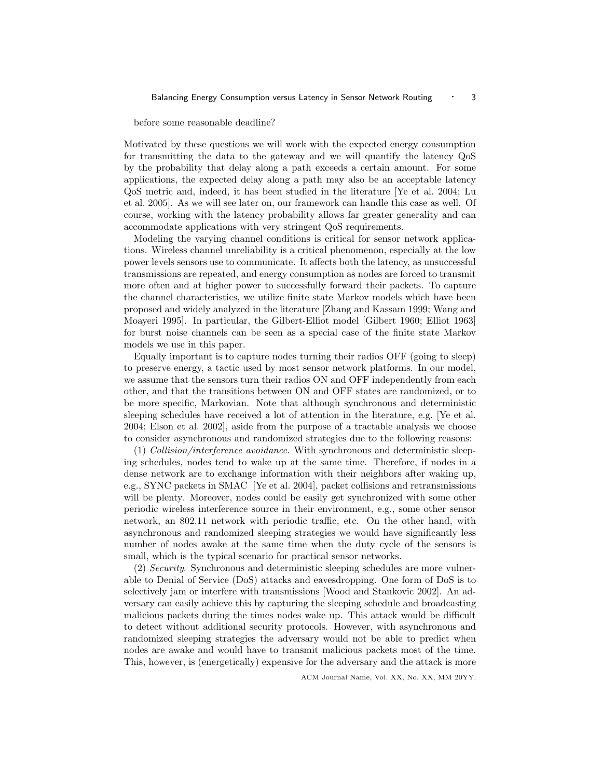before some reasonable deadline?

Motivated by these questions we will work with the expected energy consumption for transmitting the data to the gateway and we will quantify the latency QoS by the probability that delay along a path exceeds a certain amount. For some applications, the expected delay along a path may also be an acceptable latency QoS metric and, indeed, it has been studied in the literature [Ye et al. 2004; Lu et al. 2005]. As we will see later on, our framework can handle this case as well. Of course, working with the latency probability allows far greater generality and can accommodate applications with very stringent QoS requirements.

Modeling the varying channel conditions is critical for sensor network applications. Wireless channel unreliability is a critical phenomenon, especially at the low power levels sensors use to communicate. It affects both the latency, as unsuccessful transmissions are repeated, and energy consumption as nodes are forced to transmit more often and at higher power to successfully forward their packets. To capture the channel characteristics, we utilize finite state Markov models which have been proposed and widely analyzed in the literature [Zhang and Kassam 1999; Wang and Moayeri 1995]. In particular, the Gilbert-Elliot model [Gilbert 1960; Elliot 1963] for burst noise channels can be seen as a special case of the finite state Markov models we use in this paper.

Equally important is to capture nodes turning their radios OFF (going to sleep) to preserve energy, a tactic used by most sensor network platforms. In our model, we assume that the sensors turn their radios ON and OFF independently from each other, and that the transitions between ON and OFF states are randomized, or to be more specific, Markovian. Note that although synchronous and deterministic sleeping schedules have received a lot of attention in the literature, e.g. [Ye et al. 2004; Elson et al. 2002], aside from the purpose of a tractable analysis we choose to consider asynchronous and randomized strategies due to the following reasons:

 $(1)$  *Collision/interference avoidance*. With synchronous and deterministic sleeping schedules, nodes tend to wake up at the same time. Therefore, if nodes in a dense network are to exchange information with their neighbors after waking up, e.g., SYNC packets in SMAC [Ye et al. 2004], packet collisions and retransmissions will be plenty. Moreover, nodes could be easily get synchronized with some other periodic wireless interference source in their environment, e.g., some other sensor network, an 802.11 network with periodic traffic, etc. On the other hand, with asynchronous and randomized sleeping strategies we would have significantly less number of nodes awake at the same time when the duty cycle of the sensors is small, which is the typical scenario for practical sensor networks.

(2) Security. Synchronous and deterministic sleeping schedules are more vulnerable to Denial of Service (DoS) attacks and eavesdropping. One form of DoS is to selectively jam or interfere with transmissions [Wood and Stankovic 2002]. An adversary can easily achieve this by capturing the sleeping schedule and broadcasting malicious packets during the times nodes wake up. This attack would be difficult to detect without additional security protocols. However, with asynchronous and randomized sleeping strategies the adversary would not be able to predict when nodes are awake and would have to transmit malicious packets most of the time. This, however, is (energetically) expensive for the adversary and the attack is more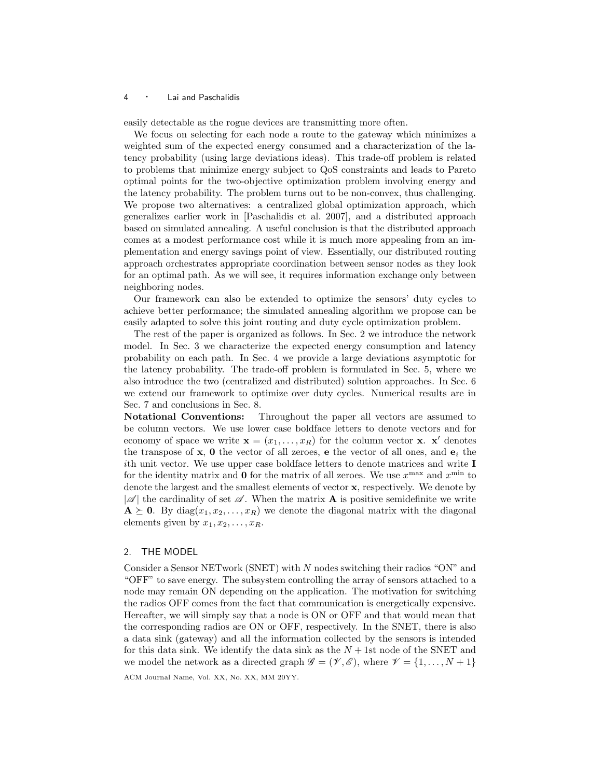easily detectable as the rogue devices are transmitting more often.

We focus on selecting for each node a route to the gateway which minimizes a weighted sum of the expected energy consumed and a characterization of the latency probability (using large deviations ideas). This trade-off problem is related to problems that minimize energy subject to QoS constraints and leads to Pareto optimal points for the two-objective optimization problem involving energy and the latency probability. The problem turns out to be non-convex, thus challenging. We propose two alternatives: a centralized global optimization approach, which generalizes earlier work in [Paschalidis et al. 2007], and a distributed approach based on simulated annealing. A useful conclusion is that the distributed approach comes at a modest performance cost while it is much more appealing from an implementation and energy savings point of view. Essentially, our distributed routing approach orchestrates appropriate coordination between sensor nodes as they look for an optimal path. As we will see, it requires information exchange only between neighboring nodes.

Our framework can also be extended to optimize the sensors' duty cycles to achieve better performance; the simulated annealing algorithm we propose can be easily adapted to solve this joint routing and duty cycle optimization problem.

The rest of the paper is organized as follows. In Sec. 2 we introduce the network model. In Sec. 3 we characterize the expected energy consumption and latency probability on each path. In Sec. 4 we provide a large deviations asymptotic for the latency probability. The trade-off problem is formulated in Sec. 5, where we also introduce the two (centralized and distributed) solution approaches. In Sec. 6 we extend our framework to optimize over duty cycles. Numerical results are in Sec. 7 and conclusions in Sec. 8.

Notational Conventions: Throughout the paper all vectors are assumed to be column vectors. We use lower case boldface letters to denote vectors and for economy of space we write  $\mathbf{x} = (x_1, \dots, x_R)$  for the column vector **x**. **x'** denotes the transpose of  $x$ , 0 the vector of all zeroes, e the vector of all ones, and  $e_i$  the ith unit vector. We use upper case boldface letters to denote matrices and write I for the identity matrix and **0** for the matrix of all zeroes. We use  $x^{\max}$  and  $x^{\min}$  to denote the largest and the smallest elements of vector x, respectively. We denote by  $|\mathscr{A}|$  the cardinality of set  $\mathscr{A}$ . When the matrix **A** is positive semidefinite we write  $A \succeq 0$ . By diag $(x_1, x_2, \ldots, x_R)$  we denote the diagonal matrix with the diagonal elements given by  $x_1, x_2, \ldots, x_R$ .

## 2. THE MODEL

Consider a Sensor NETwork (SNET) with N nodes switching their radios "ON" and "OFF" to save energy. The subsystem controlling the array of sensors attached to a node may remain ON depending on the application. The motivation for switching the radios OFF comes from the fact that communication is energetically expensive. Hereafter, we will simply say that a node is ON or OFF and that would mean that the corresponding radios are ON or OFF, respectively. In the SNET, there is also a data sink (gateway) and all the information collected by the sensors is intended for this data sink. We identify the data sink as the  $N + 1$ st node of the SNET and we model the network as a directed graph  $\mathscr{G} = (\mathscr{V}, \mathscr{E})$ , where  $\mathscr{V} = \{1, \ldots, N+1\}$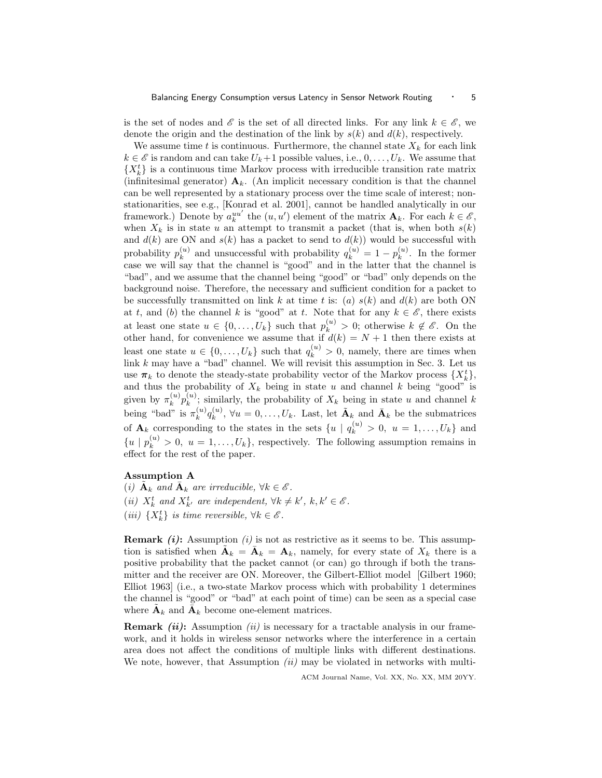is the set of nodes and  $\mathscr E$  is the set of all directed links. For any link  $k \in \mathscr E$ , we denote the origin and the destination of the link by  $s(k)$  and  $d(k)$ , respectively.

We assume time t is continuous. Furthermore, the channel state  $X_k$  for each link  $k \in \mathscr{E}$  is random and can take  $U_k+1$  possible values, i.e.,  $0, \ldots, U_k$ . We assume that  ${X_k^t}$  is a continuous time Markov process with irreducible transition rate matrix (infinitesimal generator)  $A_k$ . (An implicit necessary condition is that the channel can be well represented by a stationary process over the time scale of interest; nonstationarities, see e.g., [Konrad et al. 2001], cannot be handled analytically in our framework.) Denote by  $a_k^{uu'}$  the  $(u, u')$  element of the matrix  $\mathbf{A}_k$ . For each  $k \in \mathscr{E}$ , when  $X_k$  is in state u an attempt to transmit a packet (that is, when both  $s(k)$ ) and  $d(k)$  are ON and  $s(k)$  has a packet to send to  $d(k)$ ) would be successful with probability  $p_k^{(u)}$  $\binom{u}{k}$  and unsuccessful with probability  $q_k^{(u)} = 1 - p_k^{(u)}$  $\binom{u}{k}$ . In the former case we will say that the channel is "good" and in the latter that the channel is "bad", and we assume that the channel being "good" or "bad" only depends on the background noise. Therefore, the necessary and sufficient condition for a packet to be successfully transmitted on link k at time t is: (a)  $s(k)$  and  $d(k)$  are both ON at t, and (b) the channel k is "good" at t. Note that for any  $k \in \mathscr{E}$ , there exists at least one state  $u \in \{0, \ldots, U_k\}$  such that  $p_k^{(u)} > 0$ ; otherwise  $k \notin \mathscr{E}$ . On the other hand, for convenience we assume that if  $d(k) = N + 1$  then there exists at least one state  $u \in \{0, ..., U_k\}$  such that  $q_k^{(u)} > 0$ , namely, there are times when link  $k$  may have a "bad" channel. We will revisit this assumption in Sec. 3. Let us use  $\pi_k$  to denote the steady-state probability vector of the Markov process  $\{X_k^t\}$ , and thus the probability of  $X_k$  being in state u and channel k being "good" is given by  $\pi_k^{(u)}$  $\binom{u}{k}p_{k}^{(u)}$  $\mathbf{k}^{(u)}$ ; similarly, the probability of  $X_k$  being in state u and channel k being "bad" is  $\pi_k^{(u)}$  $\binom{u}{k} q_k^{(u)}$  $\mathbf{K}_{k}^{(u)}$ ,  $\forall u = 0, \ldots, U_k$ . Last, let  $\tilde{\mathbf{A}}_k$  and  $\bar{\mathbf{A}}_k$  be the submatrices of  $\mathbf{A}_k$  corresponding to the states in the sets  $\{u \mid q_k^{(u)} > 0, u = 1, \ldots, U_k\}$  and  ${u | p_k^{(u)} > 0, u = 1,...,U_k},$  respectively. The following assumption remains in effect for the rest of the paper.

# Assumption A

(i)  $\tilde{\mathbf{A}}_k$  and  $\bar{\mathbf{A}}_k$  are irreducible,  $\forall k \in \mathscr{E}$ . (ii)  $X_k^t$  and  $X_{k'}^t$  are independent,  $\forall k \neq k', k, k' \in \mathcal{E}$ . (iii)  $\{X_k^t\}$  is time reversible,  $\forall k \in \mathscr{E}$ .

**Remark (i):** Assumption (i) is not as restrictive as it seems to be. This assumption is satisfied when  $\tilde{\mathbf{A}}_k = \tilde{\mathbf{A}}_k = \mathbf{A}_k$ , namely, for every state of  $X_k$  there is a positive probability that the packet cannot (or can) go through if both the transmitter and the receiver are ON. Moreover, the Gilbert-Elliot model [Gilbert 1960; Elliot 1963] (i.e., a two-state Markov process which with probability 1 determines the channel is "good" or "bad" at each point of time) can be seen as a special case where  $\tilde{\mathbf{A}}_k$  and  $\bar{\mathbf{A}}_k$  become one-element matrices.

**Remark (ii):** Assumption (ii) is necessary for a tractable analysis in our framework, and it holds in wireless sensor networks where the interference in a certain area does not affect the conditions of multiple links with different destinations. We note, however, that Assumption  $(ii)$  may be violated in networks with multi-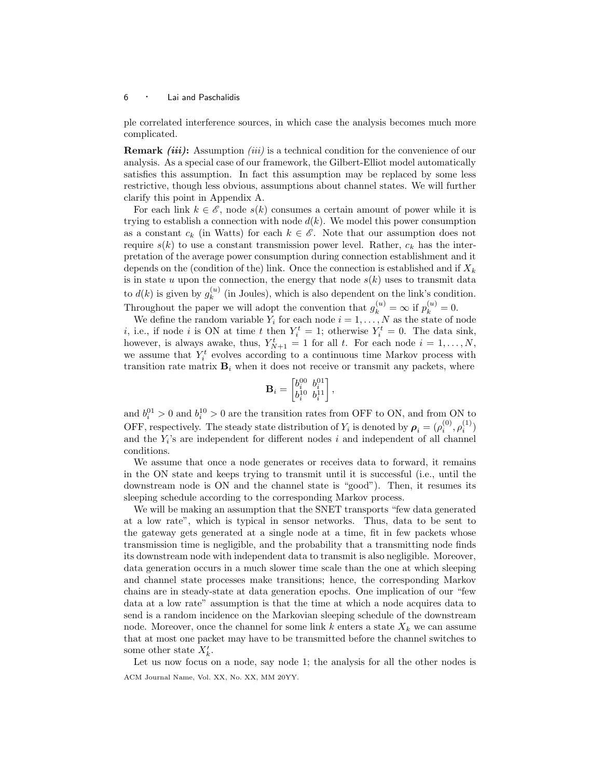ple correlated interference sources, in which case the analysis becomes much more complicated.

**Remark (iii):** Assumption (iii) is a technical condition for the convenience of our analysis. As a special case of our framework, the Gilbert-Elliot model automatically satisfies this assumption. In fact this assumption may be replaced by some less restrictive, though less obvious, assumptions about channel states. We will further clarify this point in Appendix A.

For each link  $k \in \mathscr{E}$ , node  $s(k)$  consumes a certain amount of power while it is trying to establish a connection with node  $d(k)$ . We model this power consumption as a constant  $c_k$  (in Watts) for each  $k \in \mathscr{E}$ . Note that our assumption does not require  $s(k)$  to use a constant transmission power level. Rather,  $c_k$  has the interpretation of the average power consumption during connection establishment and it depends on the (condition of the) link. Once the connection is established and if  $X_k$ is in state  $u$  upon the connection, the energy that node  $s(k)$  uses to transmit data to  $d(k)$  is given by  $g_k^{(u)}$  $\binom{u}{k}$  (in Joules), which is also dependent on the link's condition. Throughout the paper we will adopt the convention that  $g_k^{(u)} = \infty$  if  $p_k^{(u)} = 0$ .

We define the random variable  $Y_i$  for each node  $i = 1, \ldots, N$  as the state of node *i*, i.e., if node *i* is ON at time *t* then  $Y_i^t = 1$ ; otherwise  $Y_i^t = 0$ . The data sink, however, is always awake, thus,  $Y_{N+1}^t = 1$  for all t. For each node  $i = 1, ..., N$ , we assume that  $Y_i^t$  evolves according to a continuous time Markov process with transition rate matrix  $\mathbf{B}_i$  when it does not receive or transmit any packets, where

$$
\mathbf{B}_i = \begin{bmatrix} b_i^{00} & b_i^{01} \\ b_i^{10} & b_i^{11} \end{bmatrix},
$$

and  $b_i^{01} > 0$  and  $b_i^{10} > 0$  are the transition rates from OFF to ON, and from ON to OFF, respectively. The steady state distribution of  $Y_i$  is denoted by  $\rho_i = (\rho_i^{(0)}, \rho_i^{(1)})$ and the  $Y_i$ 's are independent for different nodes  $i$  and independent of all channel conditions.

We assume that once a node generates or receives data to forward, it remains in the ON state and keeps trying to transmit until it is successful (i.e., until the downstream node is ON and the channel state is "good"). Then, it resumes its sleeping schedule according to the corresponding Markov process.

We will be making an assumption that the SNET transports "few data generated at a low rate", which is typical in sensor networks. Thus, data to be sent to the gateway gets generated at a single node at a time, fit in few packets whose transmission time is negligible, and the probability that a transmitting node finds its downstream node with independent data to transmit is also negligible. Moreover, data generation occurs in a much slower time scale than the one at which sleeping and channel state processes make transitions; hence, the corresponding Markov chains are in steady-state at data generation epochs. One implication of our "few data at a low rate" assumption is that the time at which a node acquires data to send is a random incidence on the Markovian sleeping schedule of the downstream node. Moreover, once the channel for some link k enters a state  $X_k$  we can assume that at most one packet may have to be transmitted before the channel switches to some other state  $X'_{k}$ .

Let us now focus on a node, say node 1; the analysis for all the other nodes is ACM Journal Name, Vol. XX, No. XX, MM 20YY.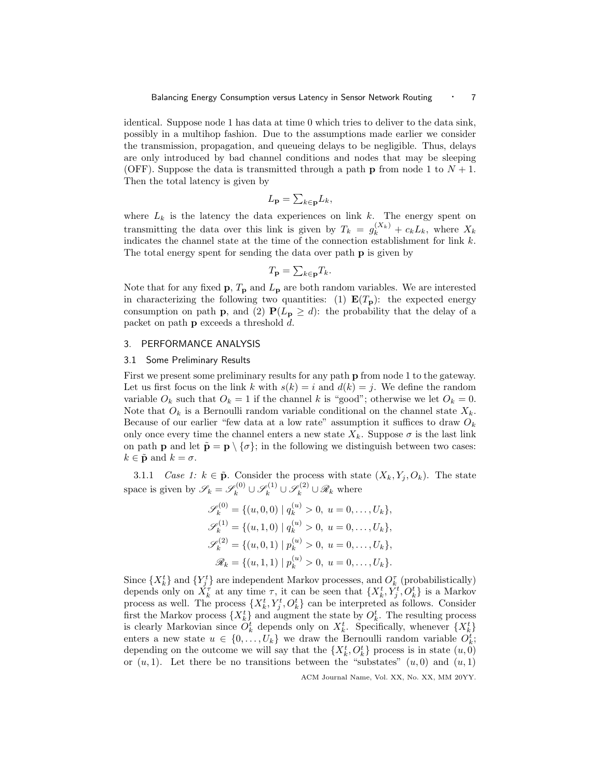identical. Suppose node 1 has data at time 0 which tries to deliver to the data sink, possibly in a multihop fashion. Due to the assumptions made earlier we consider the transmission, propagation, and queueing delays to be negligible. Thus, delays are only introduced by bad channel conditions and nodes that may be sleeping (OFF). Suppose the data is transmitted through a path **p** from node 1 to  $N + 1$ . Then the total latency is given by

$$
L_{\mathbf{p}} = \sum_{k \in \mathbf{p}} L_k,
$$

where  $L_k$  is the latency the data experiences on link k. The energy spent on transmitting the data over this link is given by  $T_k = g_k^{(X_k)} + c_k L_k$ , where  $X_k$ indicates the channel state at the time of the connection establishment for link  $k$ . The total energy spent for sending the data over path p is given by

$$
T_{\mathbf{p}} = \sum_{k \in \mathbf{p}} T_k.
$$

Note that for any fixed  $\mathbf{p}, T_{\mathbf{p}}$  and  $L_{\mathbf{p}}$  are both random variables. We are interested in characterizing the following two quantities: (1)  $E(T_p)$ : the expected energy consumption on path **p**, and (2)  $P(L_p \geq d)$ : the probability that the delay of a packet on path p exceeds a threshold d.

## 3. PERFORMANCE ANALYSIS

#### 3.1 Some Preliminary Results

First we present some preliminary results for any path p from node 1 to the gateway. Let us first focus on the link k with  $s(k) = i$  and  $d(k) = j$ . We define the random variable  $O_k$  such that  $O_k = 1$  if the channel k is "good"; otherwise we let  $O_k = 0$ . Note that  $O_k$  is a Bernoulli random variable conditional on the channel state  $X_k$ . Because of our earlier "few data at a low rate" assumption it suffices to draw  $O_k$ only once every time the channel enters a new state  $X_k$ . Suppose  $\sigma$  is the last link on path **p** and let  $\tilde{\mathbf{p}} = \mathbf{p} \setminus {\sigma}$ ; in the following we distinguish between two cases:  $k \in \tilde{\mathbf{p}}$  and  $k = \sigma$ .

3.1.1 Case 1:  $k \in \tilde{\mathbf{p}}$ . Consider the process with state  $(X_k, Y_i, O_k)$ . The state space is given by  $\mathscr{S}_k = \mathscr{S}_k^{(0)} \cup \mathscr{S}_k^{(1)} \cup \mathscr{S}_k^{(2)} \cup \mathscr{R}_k$  where

$$
\mathscr{S}_k^{(0)} = \{ (u, 0, 0) \mid q_k^{(u)} > 0, \ u = 0, \dots, U_k \},
$$
  
\n
$$
\mathscr{S}_k^{(1)} = \{ (u, 1, 0) \mid q_k^{(u)} > 0, \ u = 0, \dots, U_k \},
$$
  
\n
$$
\mathscr{S}_k^{(2)} = \{ (u, 0, 1) \mid p_k^{(u)} > 0, \ u = 0, \dots, U_k \},
$$
  
\n
$$
\mathscr{R}_k = \{ (u, 1, 1) \mid p_k^{(u)} > 0, \ u = 0, \dots, U_k \}.
$$

Since  $\{X_k^t\}$  and  $\{Y_j^t\}$  are independent Markov processes, and  $O_k^{\tau}$  (probabilistically) depends only on  $\check{X}_k^{\tau}$  at any time  $\tau$ , it can be seen that  $\{X_k^t, Y_j^t, O_k^t\}$  is a Markov process as well. The process  $\{X_k^t, Y_j^t, O_k^t\}$  can be interpreted as follows. Consider first the Markov process  $\{X_k^t\}$  and augment the state by  $O_k^t$ . The resulting process is clearly Markovian since  $O_k^t$  depends only on  $X_k^t$ . Specifically, whenever  $\{X_k^t\}$ enters a new state  $u \in \{0, \ldots, U_k\}$  we draw the Bernoulli random variable  $O_k^t$ ; depending on the outcome we will say that the  $\{X_k^t, O_k^t\}$  process is in state  $(u, 0)$ or  $(u, 1)$ . Let there be no transitions between the "substates"  $(u, 0)$  and  $(u, 1)$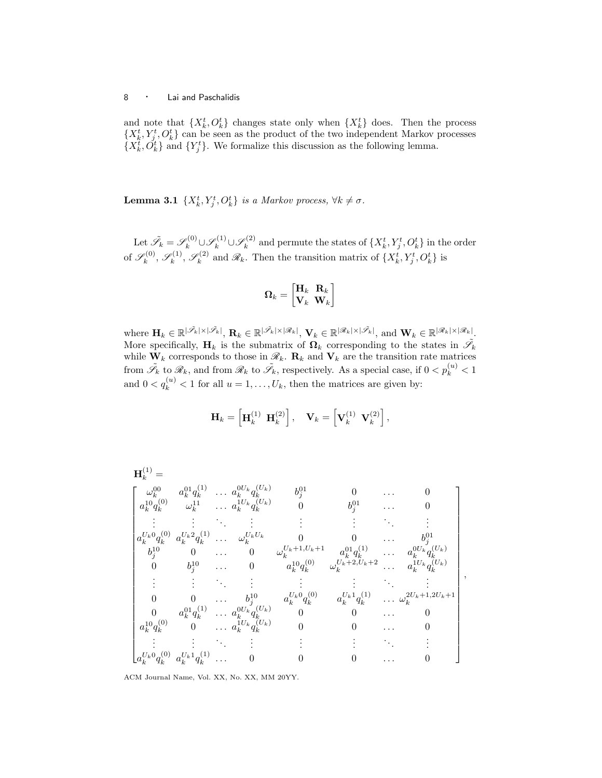and note that  $\{X_k^t, O_k^t\}$  changes state only when  $\{X_k^t\}$  does. Then the process  $\{X_k^t, Y_j^t, O_k^t\}$  can be seen as the product of the two independent Markov processes  $\{X_k^t, \check{O}_k^t\}$  and  $\{Y_j^t\}$ . We formalize this discussion as the following lemma.

**Lemma 3.1**  $\{X_k^t, Y_j^t, O_k^t\}$  is a Markov process,  $\forall k \neq \sigma$ .

Let  $\tilde{\mathscr{S}}_k = \mathscr{S}_k^{(0)} \cup \mathscr{S}_k^{(1)} \cup \mathscr{S}_k^{(2)}$  $\mathbf{R}_k^{(2)}$  and permute the states of  $\{X_k^t, Y_j^t, O_k^t\}$  in the order of  $\mathscr{S}_k^{(0)}$  $\mathscr{S}_k^{(0)},\mathscr{S}_k^{(1)}$  $\mathscr{S}_k^{(1)},\mathscr{S}_k^{(2)}$  $\mathbb{R}_k^{(2)}$  and  $\mathscr{R}_k$ . Then the transition matrix of  $\{X_k^t, Y_j^t, O_k^t\}$  is

$$
\boldsymbol{\Omega}_k = \begin{bmatrix} \mathbf{H}_k & \mathbf{R}_k \\ \mathbf{V}_k & \mathbf{W}_k \end{bmatrix}
$$

where  $\mathbf{H}_k \in \mathbb{R}^{|\tilde{\mathscr{S}}_k| \times |\tilde{\mathscr{S}}_k|}, \mathbf{R}_k \in \mathbb{R}^{|\tilde{\mathscr{S}}_k| \times |\mathscr{R}_k|}, \mathbf{V}_k \in \mathbb{R}^{|\mathscr{R}_k| \times |\tilde{\mathscr{S}}_k|}, \text{and } \mathbf{W}_k \in \mathbb{R}^{|\mathscr{R}_k| \times |\mathscr{R}_k|}.$ More specifically,  $H_k$  is the submatrix of  $\Omega_k$  corresponding to the states in  $\tilde{\mathscr{S}_k}$ while  $\mathbf{W}_k$  corresponds to those in  $\mathcal{R}_k$ .  $\mathbf{R}_k$  and  $\mathbf{V}_k$  are the transition rate matrices from  $\tilde{\mathscr{S}}_k$  to  $\mathscr{R}_k$ , and from  $\mathscr{R}_k$  to  $\tilde{\mathscr{S}}_k$ , respectively. As a special case, if  $0 < p_k^{(u)} < 1$ and  $0 < q_k^{(u)} < 1$  for all  $u = 1, \ldots, U_k$ , then the matrices are given by:

$$
\mathbf{H}_k = \left[ \mathbf{H}_k^{(1)} \ \mathbf{H}_k^{(2)} \right], \quad \mathbf{V}_k = \left[ \mathbf{V}_k^{(1)} \ \mathbf{V}_k^{(2)} \right],
$$

$$
\mathbf{H}_{k}^{(1)} = \begin{bmatrix} \omega_{k}^{00} & a_{k}^{01} q_{k}^{(1)} & \dots & a_{k}^{0U_{k}} q_{k}^{(U_{k})} & b_{j}^{01} & 0 & \dots & 0 \\ a_{k}^{10} q_{k}^{(0)} & \omega_{k}^{11} & \dots & a_{k}^{1U_{k}} q_{k}^{(U_{k})} & 0 & b_{j}^{01} & \dots & 0 \\ \vdots & \vdots & \ddots & \vdots & \vdots & \vdots & \ddots & \vdots \\ a_{k}^{U_{k}0} q_{k}^{(0)} & a_{k}^{U_{k}2} q_{k}^{(1)} & \dots & a_{k}^{U_{k}U_{k}} & 0 & 0 & \dots & b_{j}^{01} \\ b_{j}^{10} & 0 & \dots & 0 & \omega_{k}^{U_{k}+1,U_{k}+1} & a_{k}^{01} q_{k}^{(1)} & \dots & a_{k}^{0U_{k}} q_{k}^{(U_{k})} \\ 0 & b_{j}^{10} & \dots & 0 & a_{k}^{10} q_{k}^{(0)} & \omega_{k}^{U_{k}+2,U_{k}+2} & \dots & a_{k}^{1U_{k}} q_{k}^{(U_{k})} \\ \vdots & \vdots & \vdots & \vdots & \vdots & \vdots & \vdots \\ 0 & 0 & \dots & b_{j}^{10} & a_{k}^{U_{k}0} q_{k}^{(0)} & a_{k}^{U_{k}1} q_{k}^{(1)} & \dots & a_{k}^{2U_{k}+1,2U_{k}+1} \\ 0 & a_{k}^{01} q_{k}^{(1)} & \dots & a_{k}^{0U_{k}} q_{k}^{(U_{k})} & 0 & 0 & \dots & 0 \\ a_{k}^{10} q_{k}^{(0)} & 0 & \dots & a_{k}^{1U_{k}} q_{k}^{(U_{k})} & 0 & 0 & \dots & 0 \\ \vdots & \vdots & \vdots & \vdots & \vdots & \vdots & \vdots \\ a_{k}^{U_{k}0} q_{k}^{(0)} & a_{k}^{U_{k}1} q_{k}^{(1)} & \dots & 0 & 0 & \dots & 0 \end{bmatrix}
$$

,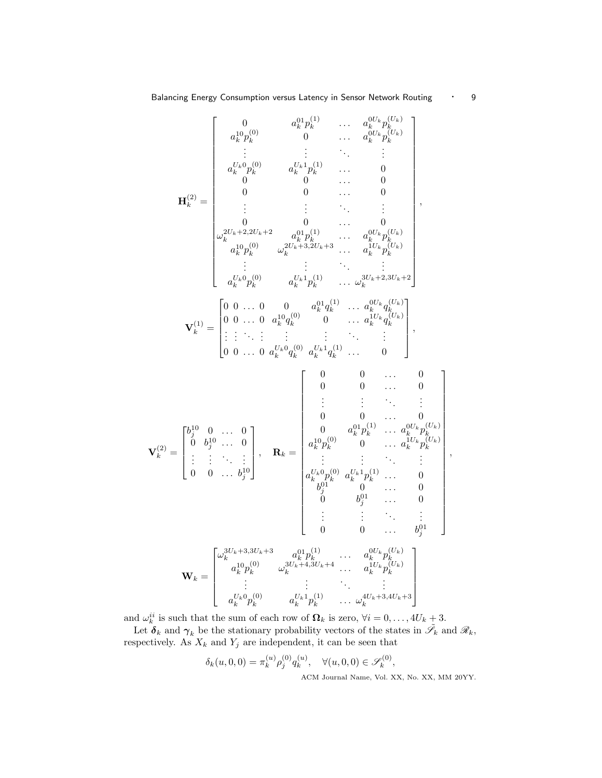$$
\mathbf{V}_{k}^{(1)} = \begin{bmatrix} 0 & a_{k}^{01}p_{k}^{(1)} & \cdots & a_{k}^{0U_{k}}p_{k}^{(U_{k})} \\ a_{k}^{10}p_{k}^{(0)} & 0 & \cdots & a_{k}^{0U_{k}}p_{k}^{(U_{k})} \\ \vdots & \vdots & \ddots & \vdots \\ a_{k}^{U_{k}0}p_{k}^{(0)} & a_{k}^{U_{k}1}p_{k}^{(1)} & \cdots & 0 \\ 0 & 0 & \cdots & 0 \\ \vdots & \vdots & \vdots & \ddots & \vdots \\ a_{k}^{2U_{k}+2,2U_{k}+2} & a_{k}^{01}p_{k}^{(1)} & \cdots & a_{k}^{0U_{k}}p_{k}^{(U_{k})} \\ a_{k}^{10}p_{k}^{(0)} & a_{k}^{U_{k}1}a_{k}^{(1)} & \cdots & a_{k}^{0U_{k}}p_{k}^{(U_{k})} \\ \vdots & \vdots & \ddots & \vdots \\ a_{k}^{U_{k}0}p_{k}^{(0)} & a_{k}^{U_{k}1}p_{k}^{(1)} & \cdots & a_{k}^{U_{k}}p_{k}^{(U_{k})} \\ \vdots & \vdots & \ddots & \vdots \\ a_{k}^{U_{k}0}p_{k}^{(0)} & a_{k}^{U_{k}1}p_{k}^{(1)} & \cdots & a_{k}^{U_{k}1}a_{k}^{(U_{k})} \\ \vdots & \vdots & \ddots & \vdots & \vdots \\ 0 & 0 & \cdots & 0 & a_{k}^{10}q_{k}^{(1)} & \cdots & a_{k}^{U_{k}}q_{k}^{(U_{k})} \\ \vdots & \vdots & \ddots & \vdots & \vdots \\ 0 & 0 & \cdots & 0 & \vdots \\ 0 & 0 & \cdots & 0 & 0 \\ \vdots & \vdots & \ddots & \vdots & \vdots & \ddots & \vdots \\ 0 & 0 & \cdots & 0 & 0 & a_{k}^{10}p_{k}^{(1)} & \cdots & 0 \\ \vdots & \vdots & \ddots & \vdots & \vdots & \ddots & \vdots \\ 0 & 0 & \cdots & 0 & 0 & a_{k}^{10}p_{k}^{(1)} & \cdots &
$$

and  $\omega_k^{ii}$  is such that the sum of each row of  $\mathbf{\Omega}_k$  is zero,  $\forall i = 0, \ldots, 4U_k + 3$ .

Let  $\delta_k$  and  $\gamma_k$  be the stationary probability vectors of the states in  $\tilde{\mathscr{I}}_k$  and  $\mathscr{R}_k$ , respectively. As  $X_k$  and  $Y_j$  are independent, it can be seen that

$$
\delta_k(u,0,0) = \pi_k^{(u)} \rho_j^{(0)} q_k^{(u)}, \quad \forall (u,0,0) \in \mathscr{S}_k^{(0)},
$$
  
ACM Journal Name, Vol. XX, No. XX, MM 20YY.

1  $\overline{1}$  $\mathbf{I}$  $\mathbf{I}$  $\mathbf{I}$ 

 $\vert$ ,  $\begin{array}{c} \begin{array}{c} \end{array} \end{array}$  $\overline{1}$  $\mathbf{I}$  $\mathbf{I}$  $\mathbf{I}$  $\mathbf{I}$  $\mathbf{I}$  $\mathbf{I}$  $\mathbf{I}$  $\mathbf{I}$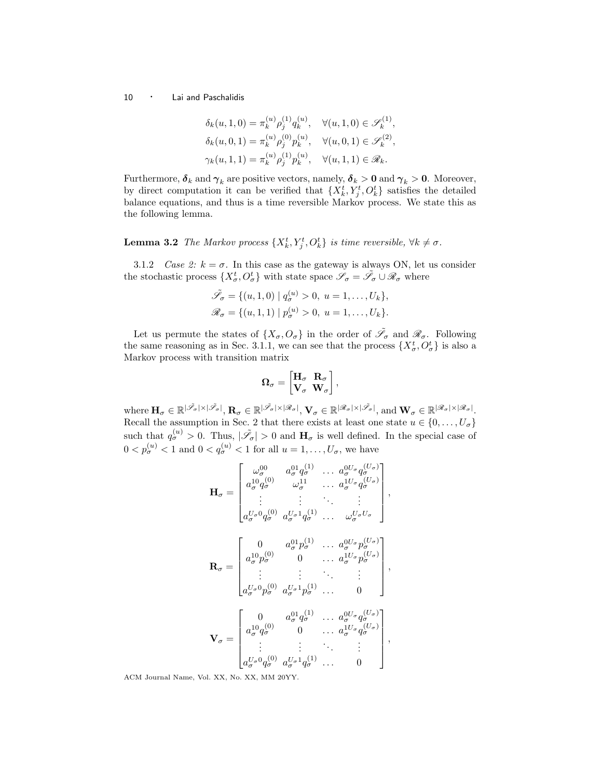$$
\delta_k(u,1,0) = \pi_k^{(u)} \rho_j^{(1)} q_k^{(u)}, \quad \forall (u,1,0) \in \mathscr{S}_k^{(1)},
$$
  

$$
\delta_k(u,0,1) = \pi_k^{(u)} \rho_j^{(0)} p_k^{(u)}, \quad \forall (u,0,1) \in \mathscr{S}_k^{(2)},
$$
  

$$
\gamma_k(u,1,1) = \pi_k^{(u)} \rho_j^{(1)} p_k^{(u)}, \quad \forall (u,1,1) \in \mathscr{R}_k.
$$

Furthermore,  $\delta_k$  and  $\gamma_k$  are positive vectors, namely,  $\delta_k > 0$  and  $\gamma_k > 0$ . Moreover, by direct computation it can be verified that  $\{X_k^t, Y_j^t, O_k^t\}$  satisfies the detailed balance equations, and thus is a time reversible Markov process. We state this as the following lemma.

**Lemma 3.2** The Markov process  $\{X_k^t, Y_j^t, O_k^t\}$  is time reversible,  $\forall k \neq \sigma$ .

3.1.2 Case 2:  $k = \sigma$ . In this case as the gateway is always ON, let us consider the stochastic process  $\{X^t_\sigma, O^t_\sigma\}$  with state space  $\mathscr{S}_\sigma = \tilde{\mathscr{S}}_\sigma \cup \mathscr{R}_\sigma$  where

$$
\tilde{\mathscr{S}}_{\sigma} = \{ (u, 1, 0) \mid q_{\sigma}^{(u)} > 0, u = 1, ..., U_k \},
$$
  

$$
\mathscr{R}_{\sigma} = \{ (u, 1, 1) \mid p_{\sigma}^{(u)} > 0, u = 1, ..., U_k \}.
$$

Let us permute the states of  $\{X_{\sigma}, O_{\sigma}\}\$  in the order of  $\tilde{\mathscr{S}}_{\sigma}$  and  $\mathscr{R}_{\sigma}$ . Following the same reasoning as in Sec. 3.1.1, we can see that the process  $\{X_{\sigma}^{t}, O_{\sigma}^{t}\}\)$  is also a Markov process with transition matrix

$$
\Omega_\sigma = \begin{bmatrix} \mathbf{H}_\sigma & \mathbf{R}_\sigma \\ \mathbf{V}_\sigma & \mathbf{W}_\sigma \end{bmatrix},
$$

where  $\mathbf{H}_{\sigma} \in \mathbb{R}^{|\tilde{\mathscr{S}}_{\sigma}| \times |\tilde{\mathscr{S}}_{\sigma}|}, \mathbf{R}_{\sigma} \in \mathbb{R}^{|\tilde{\mathscr{S}}_{\sigma}| \times |\mathscr{R}_{\sigma}|}, \mathbf{V}_{\sigma} \in \mathbb{R}^{|\mathscr{R}_{\sigma}| \times |\tilde{\mathscr{S}}_{\sigma}|}, \text{and } \mathbf{W}_{\sigma} \in \mathbb{R}^{|\mathscr{R}_{\sigma}| \times |\mathscr{R}_{\sigma}|}.$ Recall the assumption in Sec. 2 that there exists at least one state  $u \in \{0, \ldots, U_{\sigma}\}\$ such that  $q_{\sigma}^{(u)} > 0$ . Thus,  $|\tilde{\mathscr{S}}_{\sigma}| > 0$  and  $H_{\sigma}$  is well defined. In the special case of  $0 < p_{\sigma}^{(u)} < 1$  and  $0 < q_{\sigma}^{(u)} < 1$  for all  $u = 1, \ldots, U_{\sigma}$ , we have

$$
\mathbf{H}_{\sigma} = \begin{bmatrix} \omega_{\sigma}^{00} & a_{\sigma}^{01}q_{\sigma}^{(1)} & \dots & a_{\sigma}^{0U_{\sigma}}q_{\sigma}^{(U_{\sigma})} \\ a_{\sigma}^{10}q_{\sigma}^{(0)} & \omega_{\sigma}^{11} & \dots & a_{\sigma}^{1U_{\sigma}}q_{\sigma}^{(U_{\sigma})} \\ \vdots & \vdots & \ddots & \vdots \\ a_{\sigma}^{U_{\sigma}0}q_{\sigma}^{(0)} & a_{\sigma}^{U_{\sigma}1}q_{\sigma}^{(1)} & \dots & \omega_{\sigma}^{U_{\sigma}U_{\sigma}} \end{bmatrix},
$$

$$
\mathbf{R}_{\sigma} = \begin{bmatrix} 0 & a_{\sigma}^{01}p_{\sigma}^{(1)} & \dots & a_{\sigma}^{0U_{\sigma}}p_{\sigma}^{(U_{\sigma})} \\ a_{\sigma}^{10}p_{\sigma}^{(0)} & 0 & \dots & a_{\sigma}^{1U_{\sigma}}p_{\sigma}^{(U_{\sigma})} \\ \vdots & \vdots & \ddots & \vdots \\ a_{\sigma}^{U_{\sigma}0}p_{\sigma}^{(0)} & a_{\sigma}^{U_{\sigma}1}p_{\sigma}^{(1)} & \dots & 0 \end{bmatrix},
$$

$$
\mathbf{V}_{\sigma} = \begin{bmatrix} 0 & a_{\sigma}^{01}q_{\sigma}^{(1)} & \dots & a_{\sigma}^{0U_{\sigma}}q_{\sigma}^{(U_{\sigma})} \\ a_{\sigma}^{10}q_{\sigma}^{(0)} & 0 & \dots & a_{\sigma}^{1U_{\sigma}}q_{\sigma}^{(U_{\sigma})} \\ \vdots & \vdots & \ddots & \vdots \\ a_{\sigma}^{U_{\sigma}0}q_{\sigma}^{(0)} & a_{\sigma}^{U_{\sigma}1}q_{\sigma}^{(1)} & \dots & 0 \end{bmatrix},
$$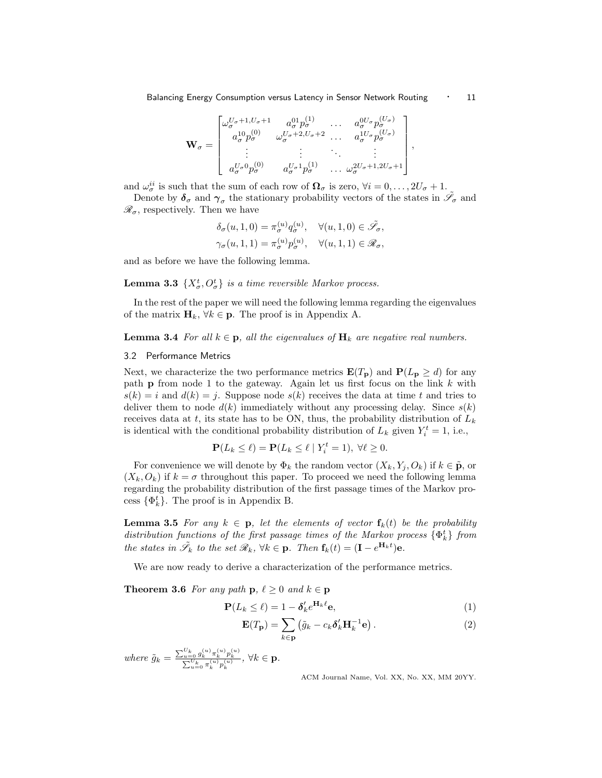$$
\mathbf{W}_{\sigma} = \begin{bmatrix} \omega_{\sigma}^{U_{\sigma}+1,U_{\sigma}+1} & a_{\sigma}^{01}p_{\sigma}^{(1)} & \dots & a_{\sigma}^{0U_{\sigma}}p_{\sigma}^{(U_{\sigma})} \\ a_{\sigma}^{10}p_{\sigma}^{(0)} & \omega_{\sigma}^{U_{\sigma}+2,U_{\sigma}+2} & \dots & a_{\sigma}^{1U_{\sigma}}p_{\sigma}^{(U_{\sigma})} \\ \vdots & \vdots & \ddots & \vdots \\ a_{\sigma}^{U_{\sigma}0}p_{\sigma}^{(0)} & a_{\sigma}^{U_{\sigma}1}p_{\sigma}^{(1)} & \dots & \omega_{\sigma}^{2U_{\sigma}+1,2U_{\sigma}+1} \end{bmatrix}
$$

and  $\omega_{\sigma}^{ii}$  is such that the sum of each row of  $\Omega_{\sigma}$  is zero,  $\forall i = 0, \ldots, 2U_{\sigma} + 1$ .

Denote by  $\delta_{\sigma}$  and  $\gamma_{\sigma}$  the stationary probability vectors of the states in  $\tilde{\mathscr{S}}_{\sigma}$  and  $\mathscr{R}_{\sigma}$ , respectively. Then we have

$$
\begin{aligned} \delta_\sigma(u,1,0)&=\pi_\sigma^{(u)}q_\sigma^{(u)},\quad \forall (u,1,0)\in\tilde{\mathscr{S}}_\sigma,\\ \gamma_\sigma(u,1,1)&=\pi_\sigma^{(u)}p_\sigma^{(u)},\quad \forall (u,1,1)\in\mathscr{R}_\sigma, \end{aligned}
$$

and as before we have the following lemma.

**Lemma 3.3**  $\{X_{\sigma}^{t}, O_{\sigma}^{t}\}$  is a time reversible Markov process.

In the rest of the paper we will need the following lemma regarding the eigenvalues of the matrix  $\mathbf{H}_k$ ,  $\forall k \in \mathbf{p}$ . The proof is in Appendix A.

## **Lemma 3.4** For all  $k \in \mathbf{p}$ , all the eigenvalues of  $\mathbf{H}_k$  are negative real numbers.

## 3.2 Performance Metrics

Next, we characterize the two performance metrics  $\mathbf{E}(T_{\mathbf{p}})$  and  $\mathbf{P}(L_{\mathbf{p}} \geq d)$  for any path  $p$  from node 1 to the gateway. Again let us first focus on the link  $k$  with  $s(k) = i$  and  $d(k) = j$ . Suppose node  $s(k)$  receives the data at time t and tries to deliver them to node  $d(k)$  immediately without any processing delay. Since  $s(k)$ receives data at t, its state has to be ON, thus, the probability distribution of  $L_k$ is identical with the conditional probability distribution of  $L_k$  given  $Y_i^t = 1$ , i.e.,

$$
\mathbf{P}(L_k \le \ell) = \mathbf{P}(L_k \le \ell \mid Y_i^t = 1), \ \forall \ell \ge 0.
$$

For convenience we will denote by  $\Phi_k$  the random vector  $(X_k, Y_i, O_k)$  if  $k \in \tilde{\mathbf{p}}$ , or  $(X_k, O_k)$  if  $k = \sigma$  throughout this paper. To proceed we need the following lemma regarding the probability distribution of the first passage times of the Markov process  $\{\Phi_k^t\}$ . The proof is in Appendix B.

**Lemma 3.5** For any  $k \in \mathbf{p}$ , let the elements of vector  $\mathbf{f}_k(t)$  be the probability distribution functions of the first passage times of the Markov process  $\{\Phi_k^t\}$  from the states in  $\tilde{\mathscr{S}}_k$  to the set  $\mathscr{R}_k$ ,  $\forall k \in \mathbf{p}$ . Then  $\mathbf{f}_k(t) = (\mathbf{I} - e^{\mathbf{H}_k t})\mathbf{e}$ .

We are now ready to derive a characterization of the performance metrics.

**Theorem 3.6** For any path  $\mathbf{p}, \ell \geq 0$  and  $k \in \mathbf{p}$ 

$$
\mathbf{P}(L_k \le \ell) = 1 - \delta'_k e^{\mathbf{H}_k \ell} \mathbf{e},\tag{1}
$$

$$
\mathbf{E}(T_{\mathbf{p}}) = \sum_{k \in \mathbf{p}} (\tilde{g}_k - c_k \delta'_k \mathbf{H}_k^{-1} \mathbf{e}). \tag{2}
$$

where  $\tilde{g}_k = \frac{\sum_{u=0}^{U_k} g_k^{(u)} \pi_k^{(u)} p_k^{(u)}}{\sum_{u=0}^{U_k} \pi_k^{(u)} p_k^{(u)}} , \, \forall k \in \mathbf{p}.$ 

ACM Journal Name, Vol. XX, No. XX, MM 20YY.

,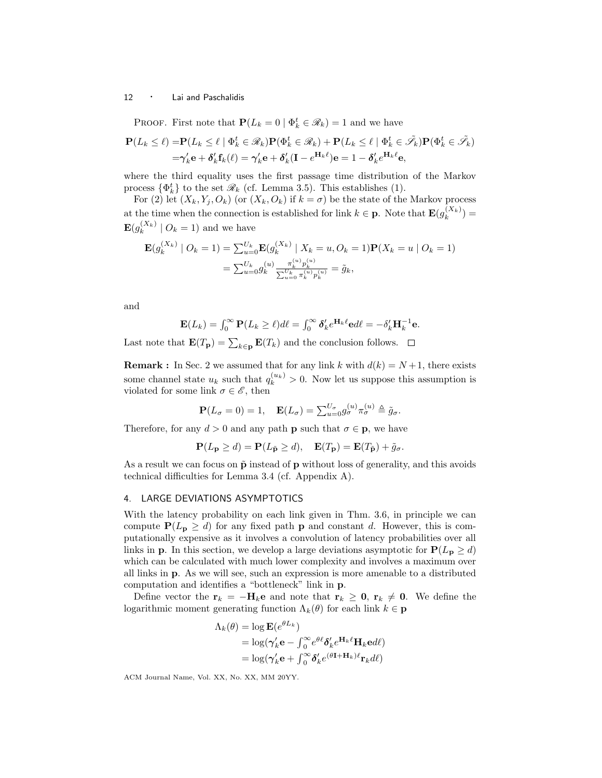PROOF. First note that  $P(L_k = 0 | \Phi_k^t \in \mathcal{R}_k) = 1$  and we have

$$
\mathbf{P}(L_k \leq \ell) = \mathbf{P}(L_k \leq \ell \mid \Phi_k^t \in \mathcal{R}_k) \mathbf{P}(\Phi_k^t \in \mathcal{R}_k) + \mathbf{P}(L_k \leq \ell \mid \Phi_k^t \in \tilde{\mathcal{I}}_k) \mathbf{P}(\Phi_k^t \in \tilde{\mathcal{I}}_k)
$$
  
=  $\gamma'_k \mathbf{e} + \delta'_k \mathbf{f}_k(\ell) = \gamma'_k \mathbf{e} + \delta'_k (\mathbf{I} - e^{\mathbf{H}_k \ell}) \mathbf{e} = 1 - \delta'_k e^{\mathbf{H}_k \ell} \mathbf{e},$ 

where the third equality uses the first passage time distribution of the Markov process  $\{\Phi_k^t\}$  to the set  $\mathcal{R}_k$  (cf. Lemma 3.5). This establishes (1).

For (2) let  $(X_k, Y_j, O_k)$  (or  $(X_k, O_k)$  if  $k = \sigma$ ) be the state of the Markov process at the time when the connection is established for link  $k \in \mathbf{p}$ . Note that  $\mathbf{E}(g_k^{(X_k)})$  $\binom{(A_k)}{k}$  =  $\mathrm{E}(g_{k}^{(X_{k})}% ,g_{k}^{(X_{k})})=\mathrm{E}(g_{k}^{(X_{k})}\mathrm{E}(g_{k}^{(X_{k})})\cap \mathcal{O}_{k}^{(X_{k})})$  $\binom{(\Lambda_k)}{k}$   $O_k = 1$ ) and we have

$$
\mathbf{E}(g_k^{(X_k)} \mid O_k = 1) = \sum_{u=0}^{U_k} \mathbf{E}(g_k^{(X_k)} \mid X_k = u, O_k = 1) \mathbf{P}(X_k = u \mid O_k = 1)
$$

$$
= \sum_{u=0}^{U_k} g_k^{(u)} \frac{\pi_k^{(u)} p_k^{(u)}}{\sum_{u=0}^{U_k} \pi_k^{(u)} p_k^{(u)}} = \tilde{g}_k,
$$

and

$$
\mathbf{E}(L_k) = \int_0^\infty \mathbf{P}(L_k \geq \ell) d\ell = \int_0^\infty \pmb{\delta}'_k e^{\mathbf{H}_k \ell} \mathbf{e} d\ell = -\delta'_k \mathbf{H}_k^{-1} \mathbf{e}.
$$

Last note that  $\mathbf{E}(T_{\mathbf{p}}) = \sum_{k \in \mathbf{p}} \mathbf{E}(T_k)$  and the conclusion follows.

**Remark :** In Sec. 2 we assumed that for any link k with  $d(k) = N+1$ , there exists some channel state  $u_k$  such that  $q_k^{(u_k)} > 0$ . Now let us suppose this assumption is violated for some link  $\sigma \in \mathscr{E}$ , then

$$
\mathbf{P}(L_{\sigma}=0)=1, \quad \mathbf{E}(L_{\sigma})=\sum_{u=0}^{U_{\sigma}}g_{\sigma}^{(u)}\pi_{\sigma}^{(u)}\triangleq\tilde{g}_{\sigma}.
$$

Therefore, for any  $d > 0$  and any path **p** such that  $\sigma \in \mathbf{p}$ , we have

$$
\mathbf{P}(L_\mathbf{p} \geq d) = \mathbf{P}(L_{\tilde{\mathbf{p}}} \geq d), \quad \mathbf{E}(T_\mathbf{p}) = \mathbf{E}(T_{\tilde{\mathbf{p}}}) + \tilde{g}_\sigma.
$$

As a result we can focus on  $\tilde{p}$  instead of p without loss of generality, and this avoids technical difficulties for Lemma 3.4 (cf. Appendix A).

# 4. LARGE DEVIATIONS ASYMPTOTICS

With the latency probability on each link given in Thm. 3.6, in principle we can compute  $P(L_p \geq d)$  for any fixed path p and constant d. However, this is computationally expensive as it involves a convolution of latency probabilities over all links in **p**. In this section, we develop a large deviations asymptotic for  $P(L_p \ge d)$ which can be calculated with much lower complexity and involves a maximum over all links in p. As we will see, such an expression is more amenable to a distributed computation and identifies a "bottleneck" link in p.

Define vector the  $r_k = -H_k e$  and note that  $r_k \geq 0$ ,  $r_k \neq 0$ . We define the logarithmic moment generating function  $\Lambda_k(\theta)$  for each link  $k \in \mathbf{p}$ 

$$
\Lambda_k(\theta) = \log \mathbf{E}(e^{\theta L_k})
$$
  
=  $\log(\gamma'_k \mathbf{e} - \int_0^\infty e^{\theta \ell} \delta'_k e^{\mathbf{H}_k \ell} \mathbf{H}_k \mathbf{e} d\ell$   
=  $\log(\gamma'_k \mathbf{e} + \int_0^\infty \delta'_k e^{(\theta \mathbf{I} + \mathbf{H}_k)\ell} \mathbf{r}_k d\ell)$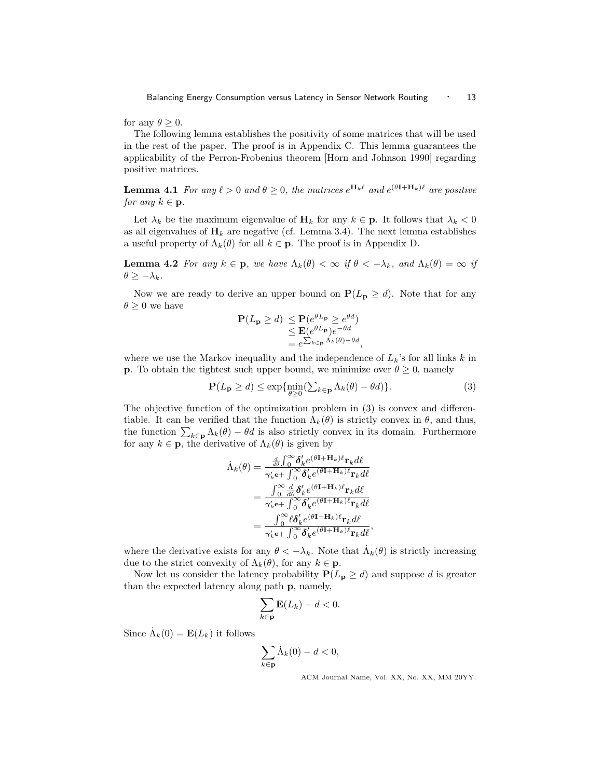for any  $\theta > 0$ .

The following lemma establishes the positivity of some matrices that will be used in the rest of the paper. The proof is in Appendix C. This lemma guarantees the applicability of the Perron-Frobenius theorem [Horn and Johnson 1990] regarding positive matrices.

**Lemma 4.1** For any  $\ell > 0$  and  $\theta \geq 0$ , the matrices  $e^{\mathbf{H}_k \ell}$  and  $e^{(\theta \mathbf{I} + \mathbf{H}_k)\ell}$  are positive for any  $k \in \mathbf{p}$ .

Let  $\lambda_k$  be the maximum eigenvalue of  $\mathbf{H}_k$  for any  $k \in \mathbf{p}$ . It follows that  $\lambda_k < 0$ as all eigenvalues of  $H_k$  are negative (cf. Lemma 3.4). The next lemma establishes a useful property of  $\Lambda_k(\theta)$  for all  $k \in \mathbf{p}$ . The proof is in Appendix D.

**Lemma 4.2** For any  $k \in \mathbf{p}$ , we have  $\Lambda_k(\theta) < \infty$  if  $\theta < -\lambda_k$ , and  $\Lambda_k(\theta) = \infty$  if  $\theta \geq -\lambda_k$ .

Now we are ready to derive an upper bound on  $P(L_p \geq d)$ . Note that for any  $\theta > 0$  we have

$$
\mathbf{P}(L_{\mathbf{p}} \geq d) \leq \mathbf{P}(e^{\theta L_{\mathbf{p}}}) \geq e^{\theta d})
$$
  
\n
$$
\leq \mathbf{E}(e^{\theta L_{\mathbf{p}}})e^{-\theta d}
$$
  
\n
$$
= e^{\sum_{k \in \mathbf{p}} \Lambda_k(\theta) - \theta d},
$$

where we use the Markov inequality and the independence of  $L_k$ 's for all links k in **p**. To obtain the tightest such upper bound, we minimize over  $\theta \geq 0$ , namely

$$
\mathbf{P}(L_{\mathbf{p}} \ge d) \le \exp\{\min_{\theta \ge 0} (\sum_{k \in \mathbf{p}} \Lambda_k(\theta) - \theta d)\}.
$$
 (3)

The objective function of the optimization problem in (3) is convex and differentiable. It can be verified that the function  $\Lambda_k(\theta)$  is strictly convex in  $\theta$ , and thus, the function  $\sum_{k\in \mathbf{p}} \Lambda_k(\theta) - \theta d$  is also strictly convex in its domain. Furthermore for any  $k \in \mathbf{p}$ , the derivative of  $\Lambda_k(\theta)$  is given by

$$
\begin{split} \dot{\Lambda}_k(\theta) & = \tfrac{\frac{d}{d\theta} \int_0^\infty \pmb{\delta}_k' e^{(\theta \mathbf{I} + \mathbf{H}_k)\ell} \mathbf{r}_k d\ell}{\gamma_k'\mathbf{e} + \int_0^\infty \pmb{\delta}_k' e^{(\theta \mathbf{I} + \mathbf{H}_k)\ell} \mathbf{r}_k d\ell} \\ & = \tfrac{\int_0^\infty \frac{d}{d\theta} \pmb{\delta}_k' e^{(\theta \mathbf{I} + \mathbf{H}_k)\ell} \mathbf{r}_k d\ell}{\gamma_k'\mathbf{e} + \int_0^\infty \pmb{\delta}_k' e^{(\theta \mathbf{I} + \mathbf{H}_k)\ell} \mathbf{r}_k d\ell} \\ & = \tfrac{\int_0^\infty \ell \pmb{\delta}_k' e^{(\theta \mathbf{I} + \mathbf{H}_k)\ell} \mathbf{r}_k d\ell}{\gamma_k'\mathbf{e} + \int_0^\infty \pmb{\delta}_k' e^{(\theta \mathbf{I} + \mathbf{H}_k)\ell} \mathbf{r}_k d\ell}, \end{split}
$$

where the derivative exists for any  $\theta < -\lambda_k$ . Note that  $\dot{\Lambda}_k(\theta)$  is strictly increasing due to the strict convexity of  $\Lambda_k(\theta)$ , for any  $k \in \mathbf{p}$ .

Now let us consider the latency probability  $P(L_p \ge d)$  and suppose d is greater than the expected latency along path p, namely,

$$
\sum_{k\in\mathbf{p}} \mathbf{E}(L_k) - d < 0.
$$

Since  $\dot{\Lambda}_k(0) = \mathbf{E}(L_k)$  it follows

$$
\sum_{k \in \mathbf{p}} \dot{\Lambda}_k(0) - d < 0,
$$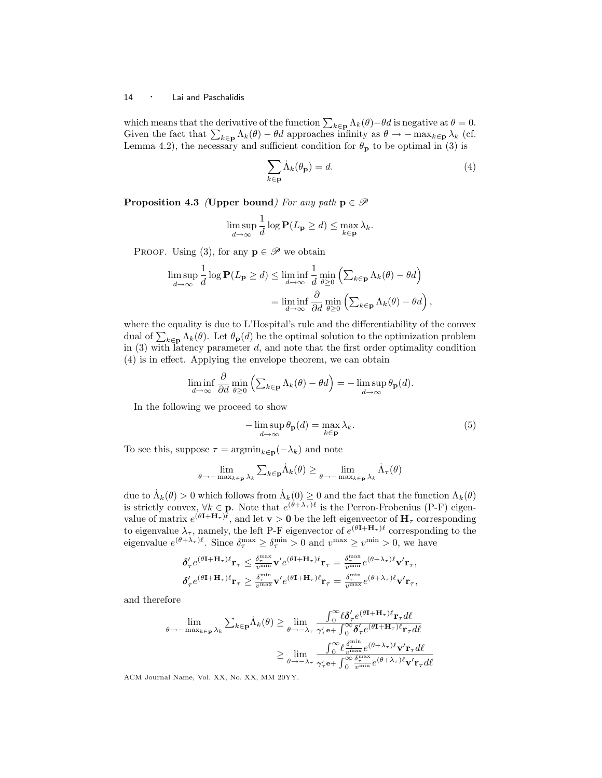which means that the derivative of the function  $\sum_{k\in\mathbf{p}}\Lambda_k(\theta)-\theta d$  is negative at  $\theta=0$ . Given the fact that  $\sum_{k\in\mathbf{p}} \Lambda_k(\theta) - \theta d$  approaches infinity as  $\theta \to -\max_{k\in\mathbf{p}} \lambda_k$  (cf. Lemma 4.2), the necessary and sufficient condition for  $\theta_{\bf p}$  to be optimal in (3) is

$$
\sum_{k \in \mathbf{p}} \dot{\Lambda}_k(\theta_\mathbf{p}) = d. \tag{4}
$$

**Proposition 4.3** (Upper bound) For any path  $p \in \mathcal{P}$ 

$$
\limsup_{d \to \infty} \frac{1}{d} \log \mathbf{P}(L_{\mathbf{p}} \ge d) \le \max_{k \in \mathbf{p}} \lambda_k.
$$

PROOF. Using (3), for any  $\mathbf{p} \in \mathscr{P}$  we obtain

$$
\limsup_{d \to \infty} \frac{1}{d} \log \mathbf{P}(L_{\mathbf{p}} \ge d) \le \liminf_{d \to \infty} \frac{1}{d} \min_{\theta \ge 0} \left( \sum_{k \in \mathbf{p}} \Lambda_k(\theta) - \theta d \right)
$$

$$
= \liminf_{d \to \infty} \frac{\partial}{\partial d} \min_{\theta \ge 0} \left( \sum_{k \in \mathbf{p}} \Lambda_k(\theta) - \theta d \right),
$$

where the equality is due to L'Hospital's rule and the differentiability of the convex dual of  $\sum_{k\in \mathbf{p}} \Lambda_k(\theta)$ . Let  $\theta_{\mathbf{p}}(d)$  be the optimal solution to the optimization problem in  $(3)$  with latency parameter d, and note that the first order optimality condition (4) is in effect. Applying the envelope theorem, we can obtain

$$
\liminf_{d \to \infty} \frac{\partial}{\partial d} \min_{\theta \ge 0} \left( \sum_{k \in \mathbf{p}} \Lambda_k(\theta) - \theta d \right) = -\limsup_{d \to \infty} \theta_{\mathbf{p}}(d).
$$

In the following we proceed to show

$$
-\limsup_{d\to\infty}\theta_{\mathbf{p}}(d) = \max_{k\in\mathbf{p}} \lambda_k.
$$
 (5)

To see this, suppose  $\tau = \operatorname{argmin}_{k \in \mathbf{p}}(-\lambda_k)$  and note

$$
\lim_{\theta \to -\max_{k \in \mathbf{p}} \lambda_k} \sum_{k \in \mathbf{p}} \dot{\Lambda}_k(\theta) \ge \lim_{\theta \to -\max_{k \in \mathbf{p}} \lambda_k} \dot{\Lambda}_\tau(\theta)
$$

due to  $\dot{\Lambda}_k(\theta) > 0$  which follows from  $\dot{\Lambda}_k(0) \geq 0$  and the fact that the function  $\Lambda_k(\theta)$ is strictly convex,  $\forall k \in \mathbf{p}$ . Note that  $e^{(\theta + \lambda_{\tau})\ell}$  is the Perron-Frobenius (P-F) eigenvalue of matrix  $e^{(\theta \mathbf{I} + \mathbf{H}_{\tau})\ell}$ , and let  $\mathbf{v} > \mathbf{0}$  be the left eigenvector of  $\mathbf{H}_{\tau}$  corresponding to eigenvalue  $\lambda_{\tau}$ , namely, the left P-F eigenvector of  $e^{(\theta \mathbf{I} + \mathbf{H}_{\tau})\ell}$  corresponding to the eigenvalue  $e^{(\theta + \lambda_{\tau})\ell}$ . Since  $\delta_{\tau}^{\max} \ge \delta_{\tau}^{\min} > 0$  and  $v^{\max} \ge v^{\min} > 0$ , we have

$$
\begin{array}{l} \delta'_\tau e^{(\theta{\bf I}+{\bf H}_\tau)\ell}{\bf r}_\tau\leq\frac{\delta^{\max}_\tau}{{\bf v}^{\min}}{\bf v}'e^{(\theta{\bf I}+{\bf H}_\tau)\ell}{\bf r}_\tau=\frac{\delta^{\max}_\tau}{{\bf v}^{\min}}e^{(\theta+\lambda_\tau)\ell}{\bf v}'{\bf r}_\tau,\\ \delta'_\tau e^{(\theta{\bf I}+{\bf H}_\tau)\ell}{\bf r}_\tau\geq\frac{\delta^{\min}_\tau}{{\bf v}^{\max}}{\bf v}'e^{(\theta{\bf I}+{\bf H}_\tau)\ell}{\bf r}_\tau=\frac{\delta^{\min}_\tau}{{\bf v}^{\max}}e^{(\theta+\lambda_\tau)\ell}{\bf v}'{\bf r}_\tau, \end{array}
$$

and therefore

$$
\lim_{\theta \to -\max_{k \in \mathbf{P}} \lambda_k} \sum_{k \in \mathbf{p}} \dot{\Lambda}_k(\theta) \ge \lim_{\theta \to -\lambda_\tau} \frac{\int_0^\infty \ell \delta_\tau' e^{(\theta \mathbf{I} + \mathbf{H}_\tau) \ell} \mathbf{r}_\tau d\ell}{\gamma_\tau' \mathbf{e} + \int_0^\infty \delta_\tau' e^{(\theta \mathbf{I} + \mathbf{H}_\tau) \ell} \mathbf{r}_\tau d\ell}
$$
\n
$$
\ge \lim_{\theta \to -\lambda_\tau} \frac{\int_0^\infty \ell \frac{\delta_\tau}{v^{\max}} e^{(\theta + \lambda_\tau) \ell} \mathbf{v}' \mathbf{r}_\tau d\ell}{\gamma_\tau' \mathbf{e} + \int_0^\infty \frac{\delta_\tau^{\max}}{v^{\min}} e^{(\theta + \lambda_\tau) \ell} \mathbf{v}' \mathbf{r}_\tau d\ell}
$$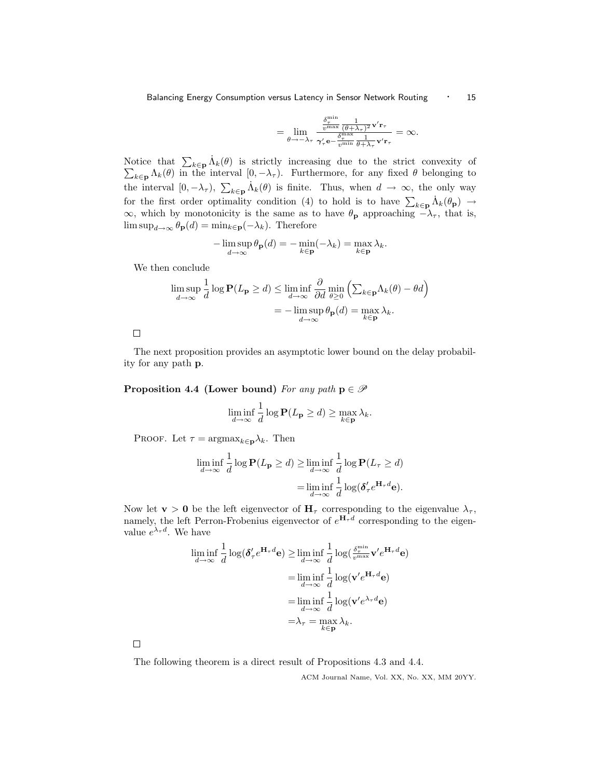Balancing Energy Consumption versus Latency in Sensor Network Routing • 15

$$
= \lim_{\theta \to -\lambda_{\tau}} \frac{\frac{\delta_{\tau}^{\min}}{v^{\max}} \frac{1}{(\theta + \lambda_{\tau})^2} \mathbf{v}' \mathbf{r}_{\tau}}{\gamma_{\tau}' \mathbf{e} - \frac{\delta_{\tau}^{\max}}{v^{\min}} \frac{1}{\theta + \lambda_{\tau}} \mathbf{v}' \mathbf{r}_{\tau}} = \infty.
$$

Notice that  $\sum_{k\in \mathbf{p}} \dot{\Lambda}_k(\theta)$  is strictly increasing due to the strict convexity of  $\sum_{k\in \mathbf{p}} \Lambda_k(\theta)$  in the interval  $[0, -\lambda_\tau)$ . Furthermore, for any fixed  $\theta$  belonging to  $k\in \mathbf{p} \Lambda_k(\theta)$  in the interval  $[0, -\lambda_\tau)$ . Furthermore, for any fixed  $\theta$  belonging to the interval  $[0, -\lambda_{\tau})$ ,  $\sum_{k \in \mathbf{p}} \dot{\Lambda}_k(\theta)$  is finite. Thus, when  $d \to \infty$ , the only way for the first order optimality condition (4) to hold is to have  $\sum_{k\in \mathbf{p}} \dot{\Lambda}_k(\theta_{\mathbf{p}}) \rightarrow$  $\infty$ , which by monotonicity is the same as to have  $\theta_{\bf p}$  approaching  $-\lambda_{\tau}$ , that is,  $\limsup_{d\to\infty} \theta_{\mathbf{p}}(d) = \min_{k\in\mathbf{p}} (-\lambda_k)$ . Therefore

$$
-\limsup_{d\to\infty}\theta_{\mathbf{p}}(d)=-\min_{k\in\mathbf{p}}(-\lambda_k)=\max_{k\in\mathbf{p}}\lambda_k.
$$

We then conclude

$$
\limsup_{d \to \infty} \frac{1}{d} \log \mathbf{P}(L_{\mathbf{p}} \ge d) \le \liminf_{d \to \infty} \frac{\partial}{\partial d} \min_{\theta \ge 0} \left( \sum_{k \in \mathbf{p}} \Lambda_k(\theta) - \theta d \right)
$$

$$
= -\limsup_{d \to \infty} \theta_{\mathbf{p}}(d) = \max_{k \in \mathbf{p}} \lambda_k.
$$

 $\Box$ 

The next proposition provides an asymptotic lower bound on the delay probability for any path p.

Proposition 4.4 (Lower bound) For any path  $p \in \mathcal{P}$ 

$$
\liminf_{d \to \infty} \frac{1}{d} \log \mathbf{P}(L_{\mathbf{p}} \ge d) \ge \max_{k \in \mathbf{p}} \lambda_k.
$$

PROOF. Let  $\tau = \text{argmax}_{k \in \mathbf{p}} \lambda_k$ . Then

$$
\liminf_{d \to \infty} \frac{1}{d} \log \mathbf{P}(L_{\mathbf{p}} \ge d) \ge \liminf_{d \to \infty} \frac{1}{d} \log \mathbf{P}(L_{\tau} \ge d)
$$

$$
= \liminf_{d \to \infty} \frac{1}{d} \log(\delta_{\tau}^{\prime} e^{\mathbf{H}_{\tau} d} \mathbf{e}).
$$

Now let **v** > 0 be the left eigenvector of  $H_{\tau}$  corresponding to the eigenvalue  $\lambda_{\tau}$ , namely, the left Perron-Frobenius eigenvector of  $e^{\mathbf{H}_{\tau}d}$  corresponding to the eigenvalue  $e^{\lambda_{\tau}d}$ . We have

$$
\liminf_{d \to \infty} \frac{1}{d} \log(\delta'_{\tau} e^{\mathbf{H}_{\tau} d} \mathbf{e}) \ge \liminf_{d \to \infty} \frac{1}{d} \log(\frac{\delta_{\tau}^{\min}}{v^{\max}} \mathbf{v}' e^{\mathbf{H}_{\tau} d} \mathbf{e})
$$
\n
$$
= \liminf_{d \to \infty} \frac{1}{d} \log(\mathbf{v}' e^{\mathbf{H}_{\tau} d} \mathbf{e})
$$
\n
$$
= \liminf_{d \to \infty} \frac{1}{d} \log(\mathbf{v}' e^{\lambda_{\tau} d} \mathbf{e})
$$
\n
$$
= \lambda_{\tau} = \max_{k \in \mathbf{p}} \lambda_{k}.
$$

 $\Box$ 

The following theorem is a direct result of Propositions 4.3 and 4.4.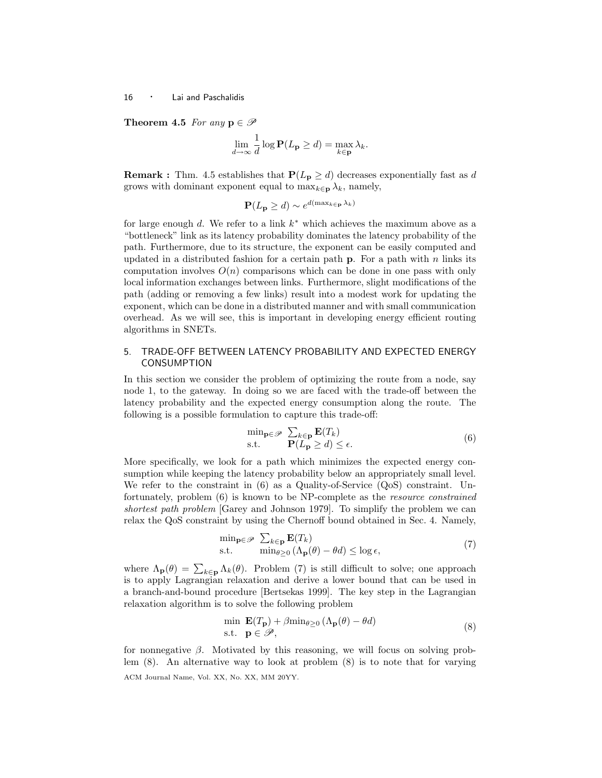Theorem 4.5 For any  $p \in \mathscr{P}$ 

$$
\lim_{d \to \infty} \frac{1}{d} \log \mathbf{P}(L_{\mathbf{p}} \ge d) = \max_{k \in \mathbf{p}} \lambda_k.
$$

**Remark :** Thm. 4.5 establishes that  $P(L_p \geq d)$  decreases exponentially fast as d grows with dominant exponent equal to  $\max_{k\in \mathbf{p}} \lambda_k$ , namely,

$$
\mathbf{P}(L_{\mathbf{p}} \geq d) \sim e^{d(\max_{k \in \mathbf{p}} \lambda_k)}
$$

for large enough  $d$ . We refer to a link  $k^*$  which achieves the maximum above as a "bottleneck" link as its latency probability dominates the latency probability of the path. Furthermore, due to its structure, the exponent can be easily computed and updated in a distributed fashion for a certain path  $\bf{p}$ . For a path with n links its computation involves  $O(n)$  comparisons which can be done in one pass with only local information exchanges between links. Furthermore, slight modifications of the path (adding or removing a few links) result into a modest work for updating the exponent, which can be done in a distributed manner and with small communication overhead. As we will see, this is important in developing energy efficient routing algorithms in SNETs.

# 5. TRADE-OFF BETWEEN LATENCY PROBABILITY AND EXPECTED ENERGY CONSUMPTION

In this section we consider the problem of optimizing the route from a node, say node 1, to the gateway. In doing so we are faced with the trade-off between the latency probability and the expected energy consumption along the route. The following is a possible formulation to capture this trade-off:

$$
\min_{\mathbf{p} \in \mathcal{P}} \sum_{k \in \mathbf{p}} \mathbf{E}(T_k)
$$
  
s.t. 
$$
\mathbf{P}(L_{\mathbf{p}} \ge d) \le \epsilon.
$$
 (6)

More specifically, we look for a path which minimizes the expected energy consumption while keeping the latency probability below an appropriately small level. We refer to the constraint in (6) as a Quality-of-Service (QoS) constraint. Unfortunately, problem (6) is known to be NP-complete as the resource constrained shortest path problem [Garey and Johnson 1979]. To simplify the problem we can relax the QoS constraint by using the Chernoff bound obtained in Sec. 4. Namely,

$$
\min_{\mathbf{p} \in \mathcal{P}} \sum_{k \in \mathbf{p}} \mathbf{E}(T_k)
$$
  
s.t. 
$$
\min_{\theta \ge 0} (\Lambda_{\mathbf{p}}(\theta) - \theta d) \le \log \epsilon,
$$
 (7)

where  $\Lambda_{\mathbf{p}}(\theta) = \sum_{k \in \mathbf{p}} \Lambda_k(\theta)$ . Problem (7) is still difficult to solve; one approach is to apply Lagrangian relaxation and derive a lower bound that can be used in a branch-and-bound procedure [Bertsekas 1999]. The key step in the Lagrangian relaxation algorithm is to solve the following problem

$$
\min \mathbf{E}(T_{\mathbf{p}}) + \beta \min_{\theta \ge 0} (\Lambda_{\mathbf{p}}(\theta) - \theta d) \n\text{s.t. } \mathbf{p} \in \mathcal{P},
$$
\n(8)

for nonnegative  $\beta$ . Motivated by this reasoning, we will focus on solving problem (8). An alternative way to look at problem (8) is to note that for varying ACM Journal Name, Vol. XX, No. XX, MM 20YY.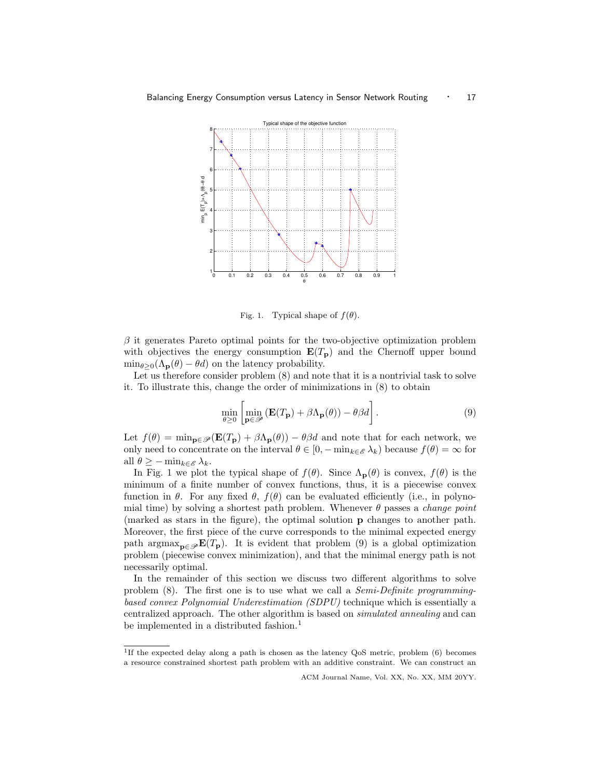

Fig. 1. Typical shape of  $f(\theta)$ .

 $\beta$  it generates Pareto optimal points for the two-objective optimization problem with objectives the energy consumption  $E(T_p)$  and the Chernoff upper bound  $\min_{\theta>0}(\Lambda_{\mathbf{p}}(\theta)-\theta d)$  on the latency probability.

Let us therefore consider problem  $(8)$  and note that it is a nontrivial task to solve it. To illustrate this, change the order of minimizations in (8) to obtain

$$
\min_{\theta \ge 0} \left[ \min_{\mathbf{p} \in \mathcal{P}} \left( \mathbf{E}(T_{\mathbf{p}}) + \beta \Lambda_{\mathbf{p}}(\theta) \right) - \theta \beta d \right]. \tag{9}
$$

Let  $f(\theta) = \min_{\mathbf{p} \in \mathcal{P}} (\mathbf{E}(T_{\mathbf{p}}) + \beta \Lambda_{\mathbf{p}}(\theta)) - \theta \beta d$  and note that for each network, we only need to concentrate on the interval  $\theta \in [0, -\min_{k \in \mathscr{E}} \lambda_k)$  because  $f(\theta) = \infty$  for all  $\theta \geq -\min_{k \in \mathscr{E}} \lambda_k$ .

In Fig. 1 we plot the typical shape of  $f(\theta)$ . Since  $\Lambda_{\mathbf{p}}(\theta)$  is convex,  $f(\theta)$  is the minimum of a finite number of convex functions, thus, it is a piecewise convex function in  $\theta$ . For any fixed  $\theta$ ,  $f(\theta)$  can be evaluated efficiently (i.e., in polynomial time) by solving a shortest path problem. Whenever  $\theta$  passes a *change point* (marked as stars in the figure), the optimal solution p changes to another path. Moreover, the first piece of the curve corresponds to the minimal expected energy path argmax<sub>p∈</sub> $\mathcal{B}(T_p)$ . It is evident that problem (9) is a global optimization problem (piecewise convex minimization), and that the minimal energy path is not necessarily optimal.

In the remainder of this section we discuss two different algorithms to solve problem (8). The first one is to use what we call a Semi-Definite programmingbased convex Polynomial Underestimation (SDPU) technique which is essentially a centralized approach. The other algorithm is based on simulated annealing and can be implemented in a distributed fashion.<sup>1</sup>

<sup>1</sup> If the expected delay along a path is chosen as the latency QoS metric, problem (6) becomes a resource constrained shortest path problem with an additive constraint. We can construct an

ACM Journal Name, Vol. XX, No. XX, MM 20YY.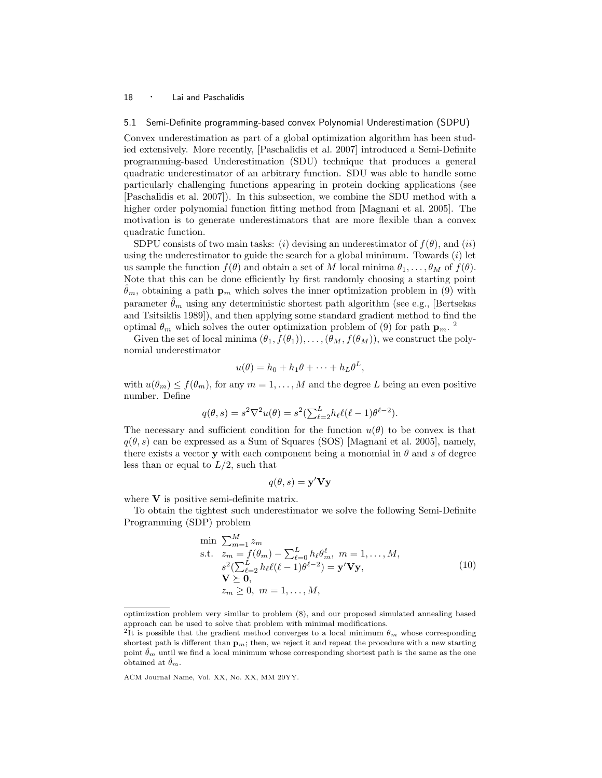## 5.1 Semi-Definite programming-based convex Polynomial Underestimation (SDPU)

Convex underestimation as part of a global optimization algorithm has been studied extensively. More recently, [Paschalidis et al. 2007] introduced a Semi-Definite programming-based Underestimation (SDU) technique that produces a general quadratic underestimator of an arbitrary function. SDU was able to handle some particularly challenging functions appearing in protein docking applications (see [Paschalidis et al. 2007]). In this subsection, we combine the SDU method with a higher order polynomial function fitting method from [Magnani et al. 2005]. The motivation is to generate underestimators that are more flexible than a convex quadratic function.

SDPU consists of two main tasks: (i) devising an underestimator of  $f(\theta)$ , and (ii) using the underestimator to guide the search for a global minimum. Towards  $(i)$  let us sample the function  $f(\theta)$  and obtain a set of M local minima  $\theta_1, \ldots, \theta_M$  of  $f(\theta)$ . Note that this can be done efficiently by first randomly choosing a starting point  $\hat{\theta}_m$ , obtaining a path  $\mathbf{p}_m$  which solves the inner optimization problem in (9) with parameter  $\hat{\theta}_m$  using any deterministic shortest path algorithm (see e.g., [Bertsekas and Tsitsiklis 1989]), and then applying some standard gradient method to find the optimal  $\theta_m$  which solves the outer optimization problem of (9) for path  $\mathbf{p}_m$ .

Given the set of local minima  $(\theta_1, f(\theta_1)), \ldots, (\theta_M, f(\theta_M))$ , we construct the polynomial underestimator

$$
u(\theta) = h_0 + h_1 \theta + \dots + h_L \theta^L,
$$

with  $u(\theta_m) \leq f(\theta_m)$ , for any  $m = 1, \ldots, M$  and the degree L being an even positive number. Define

$$
q(\theta, s) = s^2 \nabla^2 u(\theta) = s^2 \left(\sum_{\ell=2}^L h_\ell \ell(\ell-1) \theta^{\ell-2}\right).
$$

The necessary and sufficient condition for the function  $u(\theta)$  to be convex is that  $q(\theta, s)$  can be expressed as a Sum of Squares (SOS) [Magnani et al. 2005], namely, there exists a vector y with each component being a monomial in  $\theta$  and s of degree less than or equal to  $L/2$ , such that

$$
q(\theta, s) = \mathbf{y}' \mathbf{V} \mathbf{y}
$$

where  $V$  is positive semi-definite matrix.

To obtain the tightest such underestimator we solve the following Semi-Definite Programming (SDP) problem

$$
\min \sum_{m=1}^{M} z_m
$$
\n
$$
\text{s.t.} \quad z_m = f(\theta_m) - \sum_{\ell=0}^{L} h_{\ell} \theta_m^{\ell}, \quad m = 1, \dots, M,
$$
\n
$$
s^2 (\sum_{\ell=2}^{L} h_{\ell} \ell(\ell-1) \theta^{\ell-2}) = \mathbf{y}' \mathbf{V} \mathbf{y},
$$
\n
$$
\mathbf{V} \succeq \mathbf{0},
$$
\n
$$
z_m \ge 0, \quad m = 1, \dots, M,
$$
\n
$$
(10)
$$

optimization problem very similar to problem (8), and our proposed simulated annealing based approach can be used to solve that problem with minimal modifications.

<sup>&</sup>lt;sup>2</sup>It is possible that the gradient method converges to a local minimum  $\theta_m$  whose corresponding shortest path is different than  $\mathbf{p}_m$ ; then, we reject it and repeat the procedure with a new starting point  $\hat{\theta}_m$  until we find a local minimum whose corresponding shortest path is the same as the one obtained at  $\ddot{\theta}_m$ .

ACM Journal Name, Vol. XX, No. XX, MM 20YY.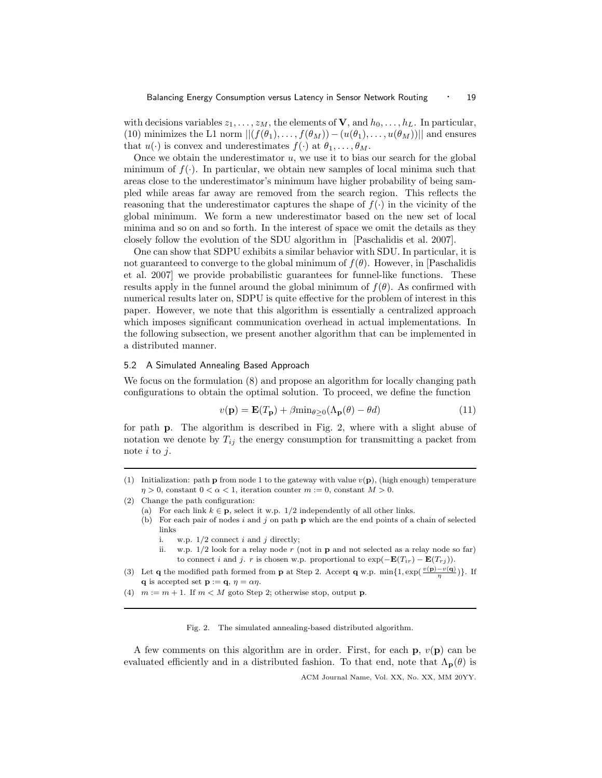with decisions variables  $z_1, \ldots, z_M$ , the elements of **V**, and  $h_0, \ldots, h_L$ . In particular, (10) minimizes the L1 norm  $||(f(\theta_1), \ldots, f(\theta_M)) - (u(\theta_1), \ldots, u(\theta_M))||$  and ensures that  $u(\cdot)$  is convex and underestimates  $f(\cdot)$  at  $\theta_1, \ldots, \theta_M$ .

Once we obtain the underestimator  $u$ , we use it to bias our search for the global minimum of  $f(\cdot)$ . In particular, we obtain new samples of local minima such that areas close to the underestimator's minimum have higher probability of being sampled while areas far away are removed from the search region. This reflects the reasoning that the underestimator captures the shape of  $f(\cdot)$  in the vicinity of the global minimum. We form a new underestimator based on the new set of local minima and so on and so forth. In the interest of space we omit the details as they closely follow the evolution of the SDU algorithm in [Paschalidis et al. 2007].

One can show that SDPU exhibits a similar behavior with SDU. In particular, it is not guaranteed to converge to the global minimum of  $f(\theta)$ . However, in [Paschalidis et al. 2007] we provide probabilistic guarantees for funnel-like functions. These results apply in the funnel around the global minimum of  $f(\theta)$ . As confirmed with numerical results later on, SDPU is quite effective for the problem of interest in this paper. However, we note that this algorithm is essentially a centralized approach which imposes significant communication overhead in actual implementations. In the following subsection, we present another algorithm that can be implemented in a distributed manner.

#### 5.2 A Simulated Annealing Based Approach

We focus on the formulation (8) and propose an algorithm for locally changing path configurations to obtain the optimal solution. To proceed, we define the function

$$
v(\mathbf{p}) = \mathbf{E}(T_{\mathbf{p}}) + \beta \min_{\theta \ge 0} (\Lambda_{\mathbf{p}}(\theta) - \theta d) \tag{11}
$$

for path p. The algorithm is described in Fig. 2, where with a slight abuse of notation we denote by  $T_{ij}$  the energy consumption for transmitting a packet from note  $i$  to  $j$ .

- (2) Change the path configuration:
	- (a) For each link  $k \in \mathbf{p}$ , select it w.p. 1/2 independently of all other links.
		- (b) For each pair of nodes i and j on path  $p$  which are the end points of a chain of selected links
			- i. w.p.  $1/2$  connect i and j directly;
			- ii. w.p.  $1/2$  look for a relay node r (not in p and not selected as a relay node so far) to connect i and j. r is chosen w.p. proportional to  $\exp(-\mathbf{E}(T_{ir}) - \mathbf{E}(T_{ri}))$ .
- (3) Let **q** the modified path formed from **p** at Step 2. Accept **q** w.p.  $\min\{1, \exp(\frac{v(\mathbf{p}) v(\mathbf{q})}{\eta})\}\.$  If **q** is accepted set **p** := **q**,  $\eta = \alpha \eta$ .
- (4)  $m := m + 1$ . If  $m < M$  goto Step 2; otherwise stop, output p.

Fig. 2. The simulated annealing-based distributed algorithm.

A few comments on this algorithm are in order. First, for each  $\bf{p}$ ,  $v(\bf{p})$  can be evaluated efficiently and in a distributed fashion. To that end, note that  $\Lambda_{\mathbf{p}}(\theta)$  is

<sup>(1)</sup> Initialization: path **p** from node 1 to the gateway with value  $v(\mathbf{p})$ , (high enough) temperature  $\eta > 0$ , constant  $0 < \alpha < 1$ , iteration counter  $m := 0$ , constant  $M > 0$ .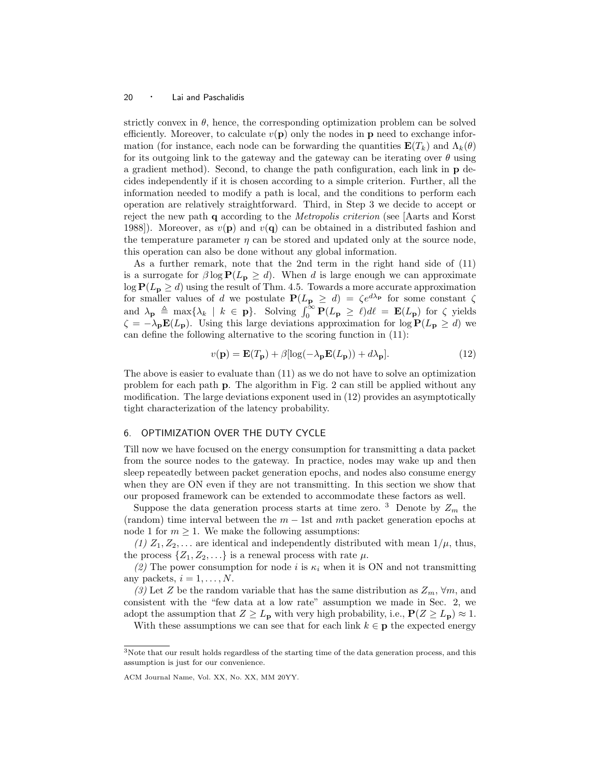strictly convex in  $\theta$ , hence, the corresponding optimization problem can be solved efficiently. Moreover, to calculate  $v(\mathbf{p})$  only the nodes in  $\mathbf{p}$  need to exchange information (for instance, each node can be forwarding the quantities  $\mathbf{E}(T_k)$  and  $\Lambda_k(\theta)$ ) for its outgoing link to the gateway and the gateway can be iterating over  $\theta$  using a gradient method). Second, to change the path configuration, each link in p decides independently if it is chosen according to a simple criterion. Further, all the information needed to modify a path is local, and the conditions to perform each operation are relatively straightforward. Third, in Step 3 we decide to accept or reject the new path q according to the Metropolis criterion (see [Aarts and Korst 1988). Moreover, as  $v(\mathbf{p})$  and  $v(\mathbf{q})$  can be obtained in a distributed fashion and the temperature parameter  $\eta$  can be stored and updated only at the source node, this operation can also be done without any global information.

As a further remark, note that the 2nd term in the right hand side of (11) is a surrogate for  $\beta \log P(L_p \ge d)$ . When d is large enough we can approximate  $\log P(L_p \ge d)$  using the result of Thm. 4.5. Towards a more accurate approximation for smaller values of d we postulate  $P(L_p \geq d) = \zeta e^{d\lambda_p}$  for some constant  $\zeta$ and  $\lambda_{\mathbf{p}} \triangleq \max\{\lambda_k \mid k \in \mathbf{p}\}\$ . Solving  $\int_0^\infty \mathbf{P}(L_{\mathbf{p}} \geq \ell) d\ell = \mathbf{E}(L_{\mathbf{p}})$  for  $\zeta$  yields  $\zeta = -\lambda_p \mathbf{E}(L_p)$ . Using this large deviations approximation for  $\log \mathbf{P}(L_p \geq d)$  we can define the following alternative to the scoring function in (11):

$$
v(\mathbf{p}) = \mathbf{E}(T_{\mathbf{p}}) + \beta [\log(-\lambda_{\mathbf{p}} \mathbf{E}(L_{\mathbf{p}})) + d\lambda_{\mathbf{p}}].
$$
\n(12)

The above is easier to evaluate than (11) as we do not have to solve an optimization problem for each path p. The algorithm in Fig. 2 can still be applied without any modification. The large deviations exponent used in (12) provides an asymptotically tight characterization of the latency probability.

# 6. OPTIMIZATION OVER THE DUTY CYCLE

Till now we have focused on the energy consumption for transmitting a data packet from the source nodes to the gateway. In practice, nodes may wake up and then sleep repeatedly between packet generation epochs, and nodes also consume energy when they are ON even if they are not transmitting. In this section we show that our proposed framework can be extended to accommodate these factors as well.

Suppose the data generation process starts at time zero. <sup>3</sup> Denote by  $Z_m$  the (random) time interval between the  $m - 1$ st and mth packet generation epochs at node 1 for  $m \geq 1$ . We make the following assumptions:

 $(1)$   $Z_1, Z_2, \ldots$  are identical and independently distributed with mean  $1/\mu$ , thus, the process  $\{Z_1, Z_2, \ldots\}$  is a renewal process with rate  $\mu$ .

(2) The power consumption for node i is  $\kappa_i$  when it is ON and not transmitting any packets,  $i = 1, \ldots, N$ .

(3) Let Z be the random variable that has the same distribution as  $Z_m$ ,  $\forall m$ , and consistent with the "few data at a low rate" assumption we made in Sec. 2, we adopt the assumption that  $Z \geq L_p$  with very high probability, i.e.,  $P(Z \geq L_p) \approx 1$ .

With these assumptions we can see that for each link  $k \in \mathbf{p}$  the expected energy

<sup>3</sup>Note that our result holds regardless of the starting time of the data generation process, and this assumption is just for our convenience.

ACM Journal Name, Vol. XX, No. XX, MM 20YY.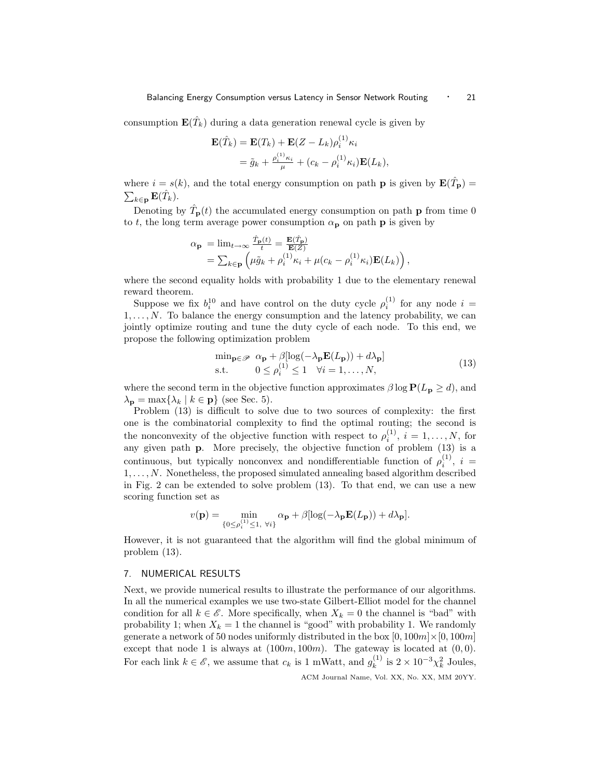consumption  $\mathbf{E}(\hat{T}_k)$  during a data generation renewal cycle is given by

$$
\mathbf{E}(\hat{T}_k) = \mathbf{E}(T_k) + \mathbf{E}(Z - L_k)\rho_i^{(1)}\kappa_i
$$
  
=  $\tilde{g}_k + \frac{\rho_i^{(1)}\kappa_i}{\mu} + (c_k - \rho_i^{(1)}\kappa_i)\mathbf{E}(L_k),$ 

where  $i = s(k)$ , and the total energy consumption on path **p** is given by  $\mathbf{E}(\hat{T}_{\mathbf{p}}) =$  $\sum_{k\in{\bf p}}{\bf E}(\hat{T}_{k}).$ 

Denoting by  $\hat{T}_{\mathbf{p}}(t)$  the accumulated energy consumption on path **p** from time 0 to t, the long term average power consumption  $\alpha_p$  on path **p** is given by

$$
\alpha_{\mathbf{p}} = \lim_{t \to \infty} \frac{\hat{T}_{\mathbf{p}}(t)}{t} = \frac{\mathbf{E}(\hat{T}_{\mathbf{p}})}{\mathbf{E}(Z)} \n= \sum_{k \in \mathbf{p}} \left( \mu \tilde{g}_k + \rho_i^{(1)} \kappa_i + \mu (c_k - \rho_i^{(1)} \kappa_i) \mathbf{E}(L_k) \right),
$$

where the second equality holds with probability 1 due to the elementary renewal reward theorem.

Suppose we fix  $b_i^{10}$  and have control on the duty cycle  $\rho_i^{(1)}$  for any node  $i =$  $1, \ldots, N$ . To balance the energy consumption and the latency probability, we can jointly optimize routing and tune the duty cycle of each node. To this end, we propose the following optimization problem

$$
\min_{\mathbf{p} \in \mathcal{P}} \alpha_{\mathbf{p}} + \beta [\log(-\lambda_{\mathbf{p}} \mathbf{E}(L_{\mathbf{p}})) + d\lambda_{\mathbf{p}}] \text{s.t.} \qquad 0 \le \rho_i^{(1)} \le 1 \quad \forall i = 1, ..., N,
$$
\n(13)

where the second term in the objective function approximates  $\beta \log P(L_p \ge d)$ , and  $\lambda_{\mathbf{p}} = \max\{\lambda_k \mid k \in \mathbf{p}\}\$  (see Sec. 5).

Problem (13) is difficult to solve due to two sources of complexity: the first one is the combinatorial complexity to find the optimal routing; the second is the nonconvexity of the objective function with respect to  $\rho_i^{(1)}$ ,  $i = 1, \ldots, N$ , for any given path p. More precisely, the objective function of problem (13) is a continuous, but typically nonconvex and nondifferentiable function of  $\rho_i^{(1)}$ ,  $i =$  $1, \ldots, N$ . Nonetheless, the proposed simulated annealing based algorithm described in Fig. 2 can be extended to solve problem (13). To that end, we can use a new scoring function set as

$$
v(\mathbf{p}) = \min_{\{0 \le \rho_i^{(1)} \le 1, \ \forall i\}} \alpha_{\mathbf{p}} + \beta [\log(-\lambda_{\mathbf{p}} \mathbf{E}(L_{\mathbf{p}})) + d\lambda_{\mathbf{p}}].
$$

However, it is not guaranteed that the algorithm will find the global minimum of problem (13).

# 7. NUMERICAL RESULTS

Next, we provide numerical results to illustrate the performance of our algorithms. In all the numerical examples we use two-state Gilbert-Elliot model for the channel condition for all  $k \in \mathscr{E}$ . More specifically, when  $X_k = 0$  the channel is "bad" with probability 1; when  $X_k = 1$  the channel is "good" with probability 1. We randomly generate a network of 50 nodes uniformly distributed in the box  $[0, 100m] \times [0, 100m]$ except that node 1 is always at  $(100m, 100m)$ . The gateway is located at  $(0, 0)$ . For each link  $k \in \mathscr{E}$ , we assume that  $c_k$  is 1 mWatt, and  $g_k^{(1)}$  $\chi_k^{(1)}$  is  $2 \times 10^{-3} \chi_k^2$  Joules,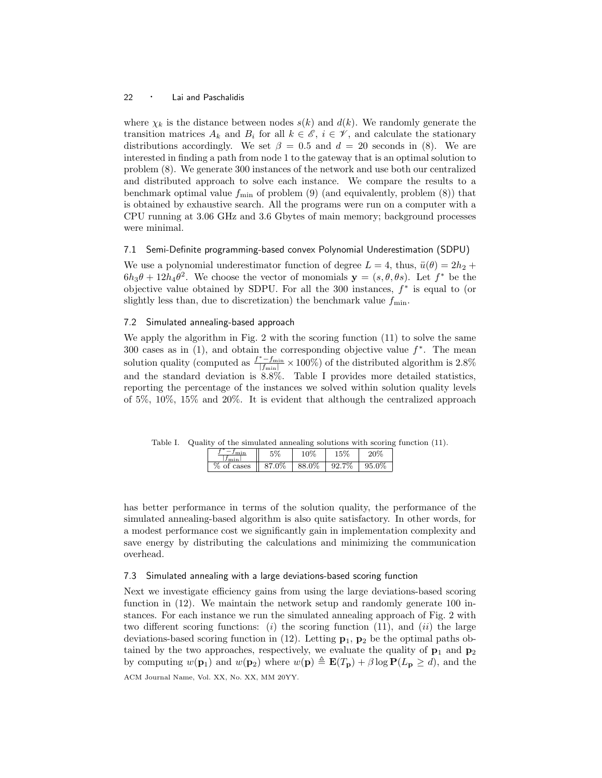where  $\chi_k$  is the distance between nodes  $s(k)$  and  $d(k)$ . We randomly generate the transition matrices  $A_k$  and  $B_i$  for all  $k \in \mathscr{E}$ ,  $i \in \mathscr{V}$ , and calculate the stationary distributions accordingly. We set  $\beta = 0.5$  and  $d = 20$  seconds in (8). We are interested in finding a path from node 1 to the gateway that is an optimal solution to problem (8). We generate 300 instances of the network and use both our centralized and distributed approach to solve each instance. We compare the results to a benchmark optimal value  $f_{\text{min}}$  of problem (9) (and equivalently, problem (8)) that is obtained by exhaustive search. All the programs were run on a computer with a CPU running at 3.06 GHz and 3.6 Gbytes of main memory; background processes were minimal.

## 7.1 Semi-Definite programming-based convex Polynomial Underestimation (SDPU)

We use a polynomial underestimator function of degree  $L = 4$ , thus,  $\ddot{u}(\theta) = 2h_2 +$  $6h_3\theta + 12h_4\theta^2$ . We choose the vector of monomials  $y = (s, \theta, \theta s)$ . Let  $f^*$  be the objective value obtained by SDPU. For all the 300 instances,  $f^*$  is equal to (or slightly less than, due to discretization) the benchmark value  $f_{\min}$ .

## 7.2 Simulated annealing-based approach

We apply the algorithm in Fig. 2 with the scoring function (11) to solve the same 300 cases as in  $(1)$ , and obtain the corresponding objective value  $f^*$ . The mean solution quality (computed as  $\frac{f^*-f_{\min}}{|f_{\min}|}\times 100\%$ ) of the distributed algorithm is 2.8% and the standard deviation is 8.8%. Table I provides more detailed statistics, reporting the percentage of the instances we solved within solution quality levels of 5%, 10%, 15% and 20%. It is evident that although the centralized approach

Table I. Quality of the simulated annealing solutions with scoring function (11).

| <br>.      |       |                |            |       |
|------------|-------|----------------|------------|-------|
|            |       | 0 <sup>7</sup> |            |       |
| %<br>cases | 87.0% | 88.0%          | 7%<br>92.7 | 95.0% |

has better performance in terms of the solution quality, the performance of the simulated annealing-based algorithm is also quite satisfactory. In other words, for a modest performance cost we significantly gain in implementation complexity and save energy by distributing the calculations and minimizing the communication overhead.

# 7.3 Simulated annealing with a large deviations-based scoring function

Next we investigate efficiency gains from using the large deviations-based scoring function in (12). We maintain the network setup and randomly generate 100 instances. For each instance we run the simulated annealing approach of Fig. 2 with two different scoring functions: (i) the scoring function  $(11)$ , and  $(ii)$  the large deviations-based scoring function in  $(12)$ . Letting  $\mathbf{p}_1$ ,  $\mathbf{p}_2$  be the optimal paths obtained by the two approaches, respectively, we evaluate the quality of  $p_1$  and  $p_2$ by computing  $w(\mathbf{p}_1)$  and  $w(\mathbf{p}_2)$  where  $w(\mathbf{p}) \triangleq \mathbf{E}(T_{\mathbf{p}}) + \beta \log \mathbf{P}(L_{\mathbf{p}} \geq d)$ , and the ACM Journal Name, Vol. XX, No. XX, MM 20YY.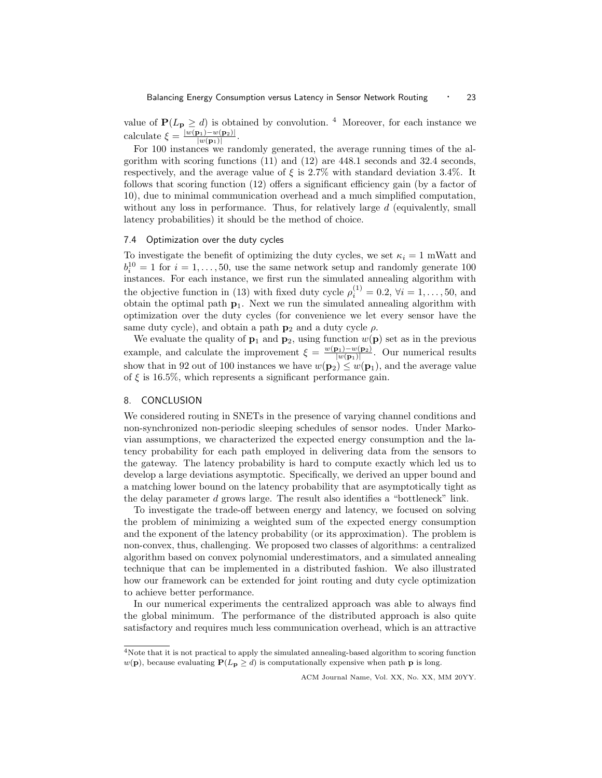value of  $P(L_p \geq d)$  is obtained by convolution. <sup>4</sup> Moreover, for each instance we calculate  $\xi = \frac{|w(\mathbf{p}_1) - w(\mathbf{p}_2)|}{|w(\mathbf{p}_1)|}$  $|w(\mathbf{p}_1)|$ .

For 100 instances we randomly generated, the average running times of the algorithm with scoring functions (11) and (12) are 448.1 seconds and 32.4 seconds, respectively, and the average value of  $\xi$  is 2.7% with standard deviation 3.4%. It follows that scoring function (12) offers a significant efficiency gain (by a factor of 10), due to minimal communication overhead and a much simplified computation, without any loss in performance. Thus, for relatively large  $d$  (equivalently, small latency probabilities) it should be the method of choice.

#### 7.4 Optimization over the duty cycles

To investigate the benefit of optimizing the duty cycles, we set  $\kappa_i = 1$  mWatt and  $b_i^{10} = 1$  for  $i = 1, ..., 50$ , use the same network setup and randomly generate 100 instances. For each instance, we first run the simulated annealing algorithm with the objective function in (13) with fixed duty cycle  $\rho_i^{(1)} = 0.2, \forall i = 1, ..., 50$ , and obtain the optimal path  $p_1$ . Next we run the simulated annealing algorithm with optimization over the duty cycles (for convenience we let every sensor have the same duty cycle), and obtain a path  $p_2$  and a duty cycle  $\rho$ .

We evaluate the quality of  $\mathbf{p}_1$  and  $\mathbf{p}_2$ , using function  $w(\mathbf{p})$  set as in the previous example, and calculate the improvement  $\xi = \frac{w(\mathbf{p}_1) - w(\mathbf{p}_2)}{|w(\mathbf{p}_1)|}$  $\frac{\mathbf{p}_1 - w(\mathbf{p}_2)}{|w(\mathbf{p}_1)|}$ . Our numerical results show that in 92 out of 100 instances we have  $w(\mathbf{p}_2) \leq w(\mathbf{p}_1)$ , and the average value of  $\xi$  is 16.5%, which represents a significant performance gain.

# 8. CONCLUSION

We considered routing in SNETs in the presence of varying channel conditions and non-synchronized non-periodic sleeping schedules of sensor nodes. Under Markovian assumptions, we characterized the expected energy consumption and the latency probability for each path employed in delivering data from the sensors to the gateway. The latency probability is hard to compute exactly which led us to develop a large deviations asymptotic. Specifically, we derived an upper bound and a matching lower bound on the latency probability that are asymptotically tight as the delay parameter d grows large. The result also identifies a "bottleneck" link.

To investigate the trade-off between energy and latency, we focused on solving the problem of minimizing a weighted sum of the expected energy consumption and the exponent of the latency probability (or its approximation). The problem is non-convex, thus, challenging. We proposed two classes of algorithms: a centralized algorithm based on convex polynomial underestimators, and a simulated annealing technique that can be implemented in a distributed fashion. We also illustrated how our framework can be extended for joint routing and duty cycle optimization to achieve better performance.

In our numerical experiments the centralized approach was able to always find the global minimum. The performance of the distributed approach is also quite satisfactory and requires much less communication overhead, which is an attractive

 ${}^{4}\rm{Note}$  that it is not practical to apply the simulated annealing-based algorithm to scoring function  $w(\mathbf{p})$ , because evaluating  $P(L_{\mathbf{p}} \geq d)$  is computationally expensive when path  $\mathbf{p}$  is long.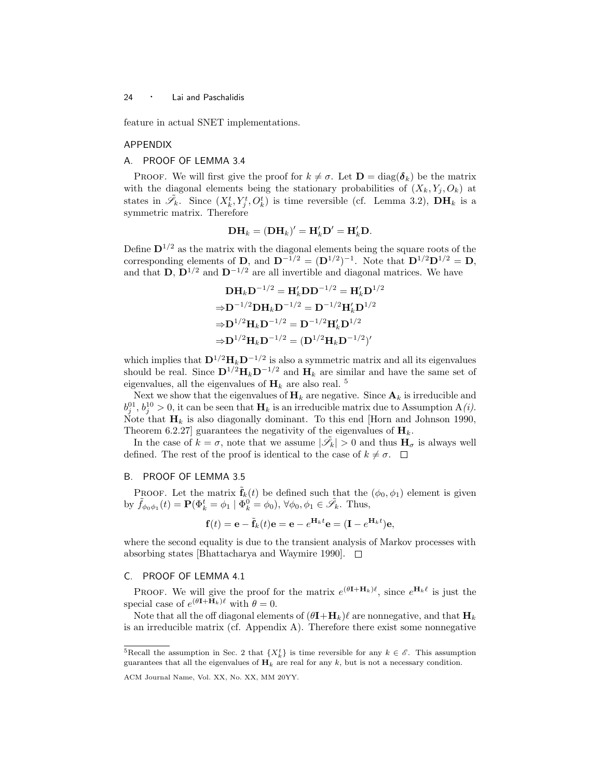feature in actual SNET implementations.

#### APPENDIX

# A. PROOF OF LEMMA 3.4

**PROOF.** We will first give the proof for  $k \neq \sigma$ . Let  $\mathbf{D} = \text{diag}(\boldsymbol{\delta}_k)$  be the matrix with the diagonal elements being the stationary probabilities of  $(X_k, Y_j, O_k)$  at states in  $\tilde{\mathscr{S}}_k$ . Since  $(X_k^t, Y_j^t, O_k^t)$  is time reversible (cf. Lemma 3.2),  $\mathbf{DH}_k$  is a symmetric matrix. Therefore

$$
\mathbf{DH}_k = (\mathbf{DH}_k)' = \mathbf{H}'_k \mathbf{D}' = \mathbf{H}'_k \mathbf{D}.
$$

Define  $\mathbf{D}^{1/2}$  as the matrix with the diagonal elements being the square roots of the corresponding elements of **D**, and  $\mathbf{D}^{-1/2} = (\mathbf{D}^{1/2})^{-1}$ . Note that  $\mathbf{D}^{1/2}\mathbf{D}^{1/2} = \mathbf{D}$ , and that D,  $\mathbf{D}^{1/2}$  and  $\mathbf{D}^{-1/2}$  are all invertible and diagonal matrices. We have

$$
DH_k D^{-1/2} = H'_k D D^{-1/2} = H'_k D^{1/2}
$$
  
\n
$$
\Rightarrow D^{-1/2} DH_k D^{-1/2} = D^{-1/2} H'_k D^{1/2}
$$
  
\n
$$
\Rightarrow D^{1/2} H_k D^{-1/2} = D^{-1/2} H'_k D^{1/2}
$$
  
\n
$$
\Rightarrow D^{1/2} H_k D^{-1/2} = (D^{1/2} H_k D^{-1/2})'
$$

which implies that  $\mathbf{D}^{1/2} \mathbf{H}_k \mathbf{D}^{-1/2}$  is also a symmetric matrix and all its eigenvalues should be real. Since  $\mathbf{D}^{1/2}\mathbf{H}_k\mathbf{D}^{-1/2}$  and  $\mathbf{H}_k$  are similar and have the same set of eigenvalues, all the eigenvalues of  $H_k$  are also real. <sup>5</sup>

Next we show that the eigenvalues of  $H_k$  are negative. Since  $A_k$  is irreducible and  $b_j^{01}, b_j^{10} > 0$ , it can be seen that  $\mathbf{H}_k$  is an irreducible matrix due to Assumption A(*i*). Note that  $\mathbf{H}_k$  is also diagonally dominant. To this end [Horn and Johnson 1990, Theorem 6.2.27] guarantees the negativity of the eigenvalues of  $\mathbf{H}_k$ .

In the case of  $k = \sigma$ , note that we assume  $|\tilde{\mathscr{S}}_k| > 0$  and thus  $H_{\sigma}$  is always well defined. The rest of the proof is identical to the case of  $k \neq \sigma$ .  $\Box$ 

## B. PROOF OF LEMMA 3.5

PROOF. Let the matrix  $\mathbf{f}_k(t)$  be defined such that the  $(\phi_0, \phi_1)$  element is given by  $\tilde{f}_{\phi_0\phi_1}(t) = \mathbf{P}(\Phi_k^t = \phi_1 \mid \Phi_k^0 = \phi_0), \forall \phi_0, \phi_1 \in \tilde{\mathscr{S}}_k$ . Thus,

$$
\mathbf{f}(t) = \mathbf{e} - \tilde{\mathbf{f}}_k(t)\mathbf{e} = \mathbf{e} - e^{\mathbf{H}_k t} \mathbf{e} = (\mathbf{I} - e^{\mathbf{H}_k t})\mathbf{e},
$$

where the second equality is due to the transient analysis of Markov processes with absorbing states [Bhattacharya and Waymire 1990].  $\Box$ 

## C. PROOF OF LEMMA 4.1

**PROOF.** We will give the proof for the matrix  $e^{(\theta \mathbf{I} + \mathbf{H}_k)\ell}$ , since  $e^{\mathbf{H}_k \ell}$  is just the special case of  $e^{(\theta \mathbf{I} + \mathbf{H}_k)\ell}$  with  $\theta = 0$ .

Note that all the off diagonal elements of  $(\theta I + H_k)\ell$  are nonnegative, and that  $H_k$ is an irreducible matrix (cf. Appendix A). Therefore there exist some nonnegative

<sup>&</sup>lt;sup>5</sup>Recall the assumption in Sec. 2 that  $\{X_k^t\}$  is time reversible for any  $k \in \mathscr{E}$ . This assumption guarantees that all the eigenvalues of  $H_k$  are real for any k, but is not a necessary condition.

ACM Journal Name, Vol. XX, No. XX, MM 20YY.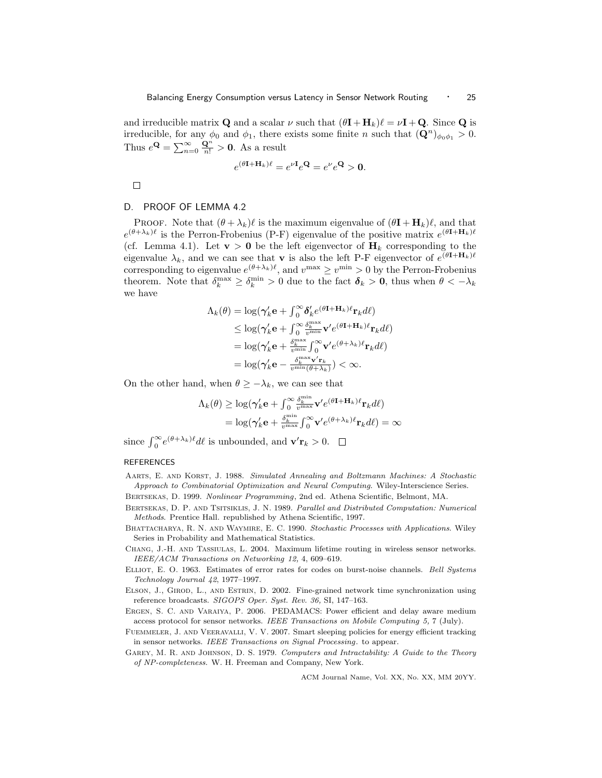and irreducible matrix **Q** and a scalar  $\nu$  such that  $(\theta \mathbf{I} + \mathbf{H}_k)\ell = \nu \mathbf{I} + \mathbf{Q}$ . Since **Q** is irreducible, for any  $\phi_0$  and  $\phi_1$ , there exists some finite n such that  $(\mathbf{Q}^n)_{\phi_0\phi_1} > 0$ . Thus  $e^{\mathbf{Q}} = \sum_{n=0}^{\infty} \frac{\mathbf{Q}^n}{n!} > \mathbf{0}$ . As a result

$$
e^{(\theta \mathbf{I} + \mathbf{H}_k)\ell} = e^{\nu \mathbf{I}} e^{\mathbf{Q}} = e^{\nu} e^{\mathbf{Q}} > \mathbf{0}.
$$

 $\Box$ 

#### D. PROOF OF LEMMA 4.2

PROOF. Note that  $(\theta + \lambda_k)\ell$  is the maximum eigenvalue of  $(\theta I + H_k)\ell$ , and that  $e^{(\theta + \lambda_k)\ell}$  is the Perron-Frobenius (P-F) eigenvalue of the positive matrix  $e^{(\theta + \mathbf{H}_k)\ell}$ (cf. Lemma 4.1). Let  $\mathbf{v} > \mathbf{0}$  be the left eigenvector of  $\mathbf{H}_k$  corresponding to the eigenvalue  $\lambda_k$ , and we can see that **v** is also the left P-F eigenvector of  $e^{(\theta \mathbf{I} + \mathbf{H}_k)\ell}$ corresponding to eigenvalue  $e^{(\theta + \lambda_k)\ell}$ , and  $v^{\max} \geq v^{\min} > 0$  by the Perron-Frobenius theorem. Note that  $\delta_k^{\max} \geq \delta_k^{\min} > 0$  due to the fact  $\delta_k > 0$ , thus when  $\theta < -\lambda_k$ we have

$$
\Lambda_k(\theta) = \log(\gamma'_k \mathbf{e} + \int_0^\infty \delta'_k e^{(\theta \mathbf{I} + \mathbf{H}_k)\ell} \mathbf{r}_k d\ell)
$$
  
\n
$$
\leq \log(\gamma'_k \mathbf{e} + \int_0^\infty \frac{\delta_k^{\max}}{v^{\min}} \mathbf{v}' e^{(\theta \mathbf{I} + \mathbf{H}_k)\ell} \mathbf{r}_k d\ell)
$$
  
\n
$$
= \log(\gamma'_k \mathbf{e} + \frac{\delta_k^{\max}}{v^{\min}} \int_0^\infty \mathbf{v}' e^{(\theta + \lambda_k)\ell} \mathbf{r}_k d\ell)
$$
  
\n
$$
= \log(\gamma'_k \mathbf{e} - \frac{\delta_k^{\max} \mathbf{v}' \mathbf{r}_k}{v^{\min}(\theta + \lambda_k)}) < \infty.
$$

On the other hand, when  $\theta \geq -\lambda_k$ , we can see that

$$
\Lambda_k(\theta) \ge \log(\gamma'_k \mathbf{e} + \int_0^\infty \frac{\delta_k^{\min}}{v^{\max}} \mathbf{v}' e^{(\theta \mathbf{I} + \mathbf{H}_k)\ell} \mathbf{r}_k d\ell)
$$
  
=  $\log(\gamma'_k \mathbf{e} + \frac{\delta_k^{\min}}{v^{\max}} \int_0^\infty \mathbf{v}' e^{(\theta + \lambda_k)\ell} \mathbf{r}_k d\ell) = \infty$ 

since  $\int_0^\infty e^{(\theta+\lambda_k)t} dt$  is unbounded, and  $\mathbf{v}'\mathbf{r}_k > 0$ .

#### **REFERENCES**

Aarts, E. and Korst, J. 1988. Simulated Annealing and Boltzmann Machines: A Stochastic Approach to Combinatorial Optimization and Neural Computing. Wiley-Interscience Series.

Bertsekas, D. 1999. Nonlinear Programming, 2nd ed. Athena Scientific, Belmont, MA.

- Bertsekas, D. P. and Tsitsiklis, J. N. 1989. Parallel and Distributed Computation: Numerical Methods. Prentice Hall. republished by Athena Scientific, 1997.
- BHATTACHARYA, R. N. AND WAYMIRE, E. C. 1990. Stochastic Processes with Applications. Wiley Series in Probability and Mathematical Statistics.
- Chang, J.-H. and Tassiulas, L. 2004. Maximum lifetime routing in wireless sensor networks. IEEE/ACM Transactions on Networking 12, 4, 609–619.
- Elliot, E. O. 1963. Estimates of error rates for codes on burst-noise channels. Bell Systems Technology Journal 42, 1977–1997.
- Elson, J., Girod, L., and Estrin, D. 2002. Fine-grained network time synchronization using reference broadcasts. SIGOPS Oper. Syst. Rev. 36, SI, 147–163.
- Ergen, S. C. and Varaiya, P. 2006. PEDAMACS: Power efficient and delay aware medium access protocol for sensor networks. IEEE Transactions on Mobile Computing 5, 7 (July).
- Fuemmeler, J. and Veeravalli, V. V. 2007. Smart sleeping policies for energy efficient tracking in sensor networks. IEEE Transactions on Signal Processing. to appear.
- Garey, M. R. and Johnson, D. S. 1979. Computers and Intractability: A Guide to the Theory of NP-completeness. W. H. Freeman and Company, New York.